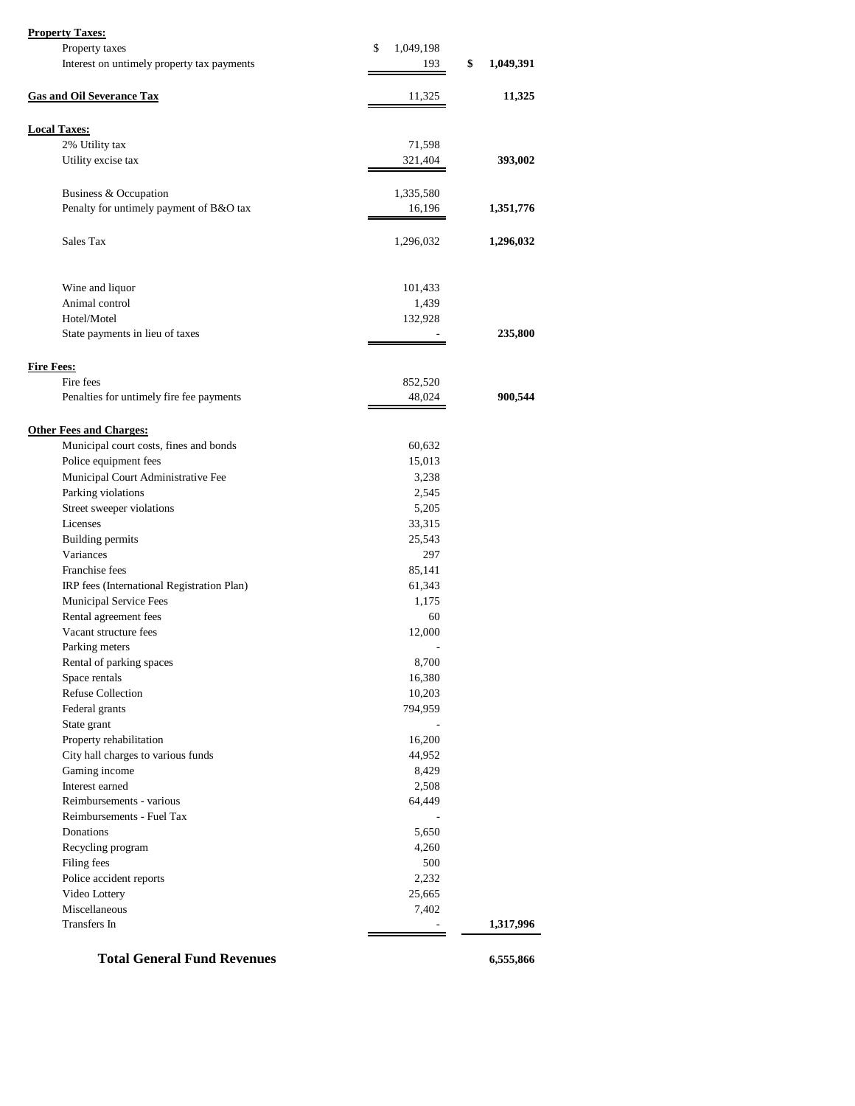|  | <b>Property Taxes:</b> |
|--|------------------------|
|  |                        |

| Property taxes<br>\$<br>1,049,198<br>\$<br>1,049,391<br>Interest on untimely property tax payments<br>193<br><b>Gas and Oil Severance Tax</b><br>11,325<br>11,325<br><b>Local Taxes:</b><br>2% Utility tax<br>71,598<br>Utility excise tax<br>321,404<br>393,002<br>Business & Occupation<br>1,335,580<br>Penalty for untimely payment of B&O tax<br>16,196<br>1,351,776<br>Sales Tax<br>1,296,032<br>1,296,032<br>Wine and liquor<br>101,433<br>Animal control<br>1,439<br>Hotel/Motel<br>132,928<br>State payments in lieu of taxes<br>235,800<br><b>Fire Fees:</b><br>Fire fees<br>852,520<br>48,024<br>900,544<br>Penalties for untimely fire fee payments<br><b>Other Fees and Charges:</b><br>Municipal court costs, fines and bonds<br>60,632<br>Police equipment fees<br>15,013<br>Municipal Court Administrative Fee<br>3,238<br>Parking violations<br>2,545<br>Street sweeper violations<br>5,205<br>Licenses<br>33,315<br><b>Building permits</b><br>25,543<br>Variances<br>297<br>Franchise fees<br>85,141<br>IRP fees (International Registration Plan)<br>61,343<br>Municipal Service Fees<br>1,175<br>Rental agreement fees<br>60<br>Vacant structure fees<br>12,000<br>Parking meters<br>Rental of parking spaces<br>8,700<br>Space rentals<br>16,380<br><b>Refuse Collection</b><br>10,203<br>Federal grants<br>794,959<br>State grant<br>Property rehabilitation<br>16,200<br>City hall charges to various funds<br>44,952<br>Gaming income<br>8,429<br>Interest earned<br>2,508<br>Reimbursements - various<br>64,449<br>Reimbursements - Fuel Tax<br>Donations<br>5,650<br>Recycling program<br>4,260<br>Filing fees<br>500<br>Police accident reports<br>2,232<br>Video Lottery<br>25,665<br>Miscellaneous<br>7,402<br>Transfers In<br>1,317,996 | <b>Property Taxes:</b> |  |
|-----------------------------------------------------------------------------------------------------------------------------------------------------------------------------------------------------------------------------------------------------------------------------------------------------------------------------------------------------------------------------------------------------------------------------------------------------------------------------------------------------------------------------------------------------------------------------------------------------------------------------------------------------------------------------------------------------------------------------------------------------------------------------------------------------------------------------------------------------------------------------------------------------------------------------------------------------------------------------------------------------------------------------------------------------------------------------------------------------------------------------------------------------------------------------------------------------------------------------------------------------------------------------------------------------------------------------------------------------------------------------------------------------------------------------------------------------------------------------------------------------------------------------------------------------------------------------------------------------------------------------------------------------------------------------------------------------------------------------------------------------------------------|------------------------|--|
|                                                                                                                                                                                                                                                                                                                                                                                                                                                                                                                                                                                                                                                                                                                                                                                                                                                                                                                                                                                                                                                                                                                                                                                                                                                                                                                                                                                                                                                                                                                                                                                                                                                                                                                                                                       |                        |  |
|                                                                                                                                                                                                                                                                                                                                                                                                                                                                                                                                                                                                                                                                                                                                                                                                                                                                                                                                                                                                                                                                                                                                                                                                                                                                                                                                                                                                                                                                                                                                                                                                                                                                                                                                                                       |                        |  |
|                                                                                                                                                                                                                                                                                                                                                                                                                                                                                                                                                                                                                                                                                                                                                                                                                                                                                                                                                                                                                                                                                                                                                                                                                                                                                                                                                                                                                                                                                                                                                                                                                                                                                                                                                                       |                        |  |
|                                                                                                                                                                                                                                                                                                                                                                                                                                                                                                                                                                                                                                                                                                                                                                                                                                                                                                                                                                                                                                                                                                                                                                                                                                                                                                                                                                                                                                                                                                                                                                                                                                                                                                                                                                       |                        |  |
|                                                                                                                                                                                                                                                                                                                                                                                                                                                                                                                                                                                                                                                                                                                                                                                                                                                                                                                                                                                                                                                                                                                                                                                                                                                                                                                                                                                                                                                                                                                                                                                                                                                                                                                                                                       |                        |  |
|                                                                                                                                                                                                                                                                                                                                                                                                                                                                                                                                                                                                                                                                                                                                                                                                                                                                                                                                                                                                                                                                                                                                                                                                                                                                                                                                                                                                                                                                                                                                                                                                                                                                                                                                                                       |                        |  |
|                                                                                                                                                                                                                                                                                                                                                                                                                                                                                                                                                                                                                                                                                                                                                                                                                                                                                                                                                                                                                                                                                                                                                                                                                                                                                                                                                                                                                                                                                                                                                                                                                                                                                                                                                                       |                        |  |
|                                                                                                                                                                                                                                                                                                                                                                                                                                                                                                                                                                                                                                                                                                                                                                                                                                                                                                                                                                                                                                                                                                                                                                                                                                                                                                                                                                                                                                                                                                                                                                                                                                                                                                                                                                       |                        |  |
|                                                                                                                                                                                                                                                                                                                                                                                                                                                                                                                                                                                                                                                                                                                                                                                                                                                                                                                                                                                                                                                                                                                                                                                                                                                                                                                                                                                                                                                                                                                                                                                                                                                                                                                                                                       |                        |  |
|                                                                                                                                                                                                                                                                                                                                                                                                                                                                                                                                                                                                                                                                                                                                                                                                                                                                                                                                                                                                                                                                                                                                                                                                                                                                                                                                                                                                                                                                                                                                                                                                                                                                                                                                                                       |                        |  |
|                                                                                                                                                                                                                                                                                                                                                                                                                                                                                                                                                                                                                                                                                                                                                                                                                                                                                                                                                                                                                                                                                                                                                                                                                                                                                                                                                                                                                                                                                                                                                                                                                                                                                                                                                                       |                        |  |
|                                                                                                                                                                                                                                                                                                                                                                                                                                                                                                                                                                                                                                                                                                                                                                                                                                                                                                                                                                                                                                                                                                                                                                                                                                                                                                                                                                                                                                                                                                                                                                                                                                                                                                                                                                       |                        |  |
|                                                                                                                                                                                                                                                                                                                                                                                                                                                                                                                                                                                                                                                                                                                                                                                                                                                                                                                                                                                                                                                                                                                                                                                                                                                                                                                                                                                                                                                                                                                                                                                                                                                                                                                                                                       |                        |  |
|                                                                                                                                                                                                                                                                                                                                                                                                                                                                                                                                                                                                                                                                                                                                                                                                                                                                                                                                                                                                                                                                                                                                                                                                                                                                                                                                                                                                                                                                                                                                                                                                                                                                                                                                                                       |                        |  |
|                                                                                                                                                                                                                                                                                                                                                                                                                                                                                                                                                                                                                                                                                                                                                                                                                                                                                                                                                                                                                                                                                                                                                                                                                                                                                                                                                                                                                                                                                                                                                                                                                                                                                                                                                                       |                        |  |
|                                                                                                                                                                                                                                                                                                                                                                                                                                                                                                                                                                                                                                                                                                                                                                                                                                                                                                                                                                                                                                                                                                                                                                                                                                                                                                                                                                                                                                                                                                                                                                                                                                                                                                                                                                       |                        |  |
|                                                                                                                                                                                                                                                                                                                                                                                                                                                                                                                                                                                                                                                                                                                                                                                                                                                                                                                                                                                                                                                                                                                                                                                                                                                                                                                                                                                                                                                                                                                                                                                                                                                                                                                                                                       |                        |  |
|                                                                                                                                                                                                                                                                                                                                                                                                                                                                                                                                                                                                                                                                                                                                                                                                                                                                                                                                                                                                                                                                                                                                                                                                                                                                                                                                                                                                                                                                                                                                                                                                                                                                                                                                                                       |                        |  |
|                                                                                                                                                                                                                                                                                                                                                                                                                                                                                                                                                                                                                                                                                                                                                                                                                                                                                                                                                                                                                                                                                                                                                                                                                                                                                                                                                                                                                                                                                                                                                                                                                                                                                                                                                                       |                        |  |
|                                                                                                                                                                                                                                                                                                                                                                                                                                                                                                                                                                                                                                                                                                                                                                                                                                                                                                                                                                                                                                                                                                                                                                                                                                                                                                                                                                                                                                                                                                                                                                                                                                                                                                                                                                       |                        |  |
|                                                                                                                                                                                                                                                                                                                                                                                                                                                                                                                                                                                                                                                                                                                                                                                                                                                                                                                                                                                                                                                                                                                                                                                                                                                                                                                                                                                                                                                                                                                                                                                                                                                                                                                                                                       |                        |  |
|                                                                                                                                                                                                                                                                                                                                                                                                                                                                                                                                                                                                                                                                                                                                                                                                                                                                                                                                                                                                                                                                                                                                                                                                                                                                                                                                                                                                                                                                                                                                                                                                                                                                                                                                                                       |                        |  |
|                                                                                                                                                                                                                                                                                                                                                                                                                                                                                                                                                                                                                                                                                                                                                                                                                                                                                                                                                                                                                                                                                                                                                                                                                                                                                                                                                                                                                                                                                                                                                                                                                                                                                                                                                                       |                        |  |
|                                                                                                                                                                                                                                                                                                                                                                                                                                                                                                                                                                                                                                                                                                                                                                                                                                                                                                                                                                                                                                                                                                                                                                                                                                                                                                                                                                                                                                                                                                                                                                                                                                                                                                                                                                       |                        |  |
|                                                                                                                                                                                                                                                                                                                                                                                                                                                                                                                                                                                                                                                                                                                                                                                                                                                                                                                                                                                                                                                                                                                                                                                                                                                                                                                                                                                                                                                                                                                                                                                                                                                                                                                                                                       |                        |  |
|                                                                                                                                                                                                                                                                                                                                                                                                                                                                                                                                                                                                                                                                                                                                                                                                                                                                                                                                                                                                                                                                                                                                                                                                                                                                                                                                                                                                                                                                                                                                                                                                                                                                                                                                                                       |                        |  |
|                                                                                                                                                                                                                                                                                                                                                                                                                                                                                                                                                                                                                                                                                                                                                                                                                                                                                                                                                                                                                                                                                                                                                                                                                                                                                                                                                                                                                                                                                                                                                                                                                                                                                                                                                                       |                        |  |
|                                                                                                                                                                                                                                                                                                                                                                                                                                                                                                                                                                                                                                                                                                                                                                                                                                                                                                                                                                                                                                                                                                                                                                                                                                                                                                                                                                                                                                                                                                                                                                                                                                                                                                                                                                       |                        |  |
|                                                                                                                                                                                                                                                                                                                                                                                                                                                                                                                                                                                                                                                                                                                                                                                                                                                                                                                                                                                                                                                                                                                                                                                                                                                                                                                                                                                                                                                                                                                                                                                                                                                                                                                                                                       |                        |  |
|                                                                                                                                                                                                                                                                                                                                                                                                                                                                                                                                                                                                                                                                                                                                                                                                                                                                                                                                                                                                                                                                                                                                                                                                                                                                                                                                                                                                                                                                                                                                                                                                                                                                                                                                                                       |                        |  |
|                                                                                                                                                                                                                                                                                                                                                                                                                                                                                                                                                                                                                                                                                                                                                                                                                                                                                                                                                                                                                                                                                                                                                                                                                                                                                                                                                                                                                                                                                                                                                                                                                                                                                                                                                                       |                        |  |
|                                                                                                                                                                                                                                                                                                                                                                                                                                                                                                                                                                                                                                                                                                                                                                                                                                                                                                                                                                                                                                                                                                                                                                                                                                                                                                                                                                                                                                                                                                                                                                                                                                                                                                                                                                       |                        |  |
|                                                                                                                                                                                                                                                                                                                                                                                                                                                                                                                                                                                                                                                                                                                                                                                                                                                                                                                                                                                                                                                                                                                                                                                                                                                                                                                                                                                                                                                                                                                                                                                                                                                                                                                                                                       |                        |  |
|                                                                                                                                                                                                                                                                                                                                                                                                                                                                                                                                                                                                                                                                                                                                                                                                                                                                                                                                                                                                                                                                                                                                                                                                                                                                                                                                                                                                                                                                                                                                                                                                                                                                                                                                                                       |                        |  |
|                                                                                                                                                                                                                                                                                                                                                                                                                                                                                                                                                                                                                                                                                                                                                                                                                                                                                                                                                                                                                                                                                                                                                                                                                                                                                                                                                                                                                                                                                                                                                                                                                                                                                                                                                                       |                        |  |
|                                                                                                                                                                                                                                                                                                                                                                                                                                                                                                                                                                                                                                                                                                                                                                                                                                                                                                                                                                                                                                                                                                                                                                                                                                                                                                                                                                                                                                                                                                                                                                                                                                                                                                                                                                       |                        |  |
|                                                                                                                                                                                                                                                                                                                                                                                                                                                                                                                                                                                                                                                                                                                                                                                                                                                                                                                                                                                                                                                                                                                                                                                                                                                                                                                                                                                                                                                                                                                                                                                                                                                                                                                                                                       |                        |  |
|                                                                                                                                                                                                                                                                                                                                                                                                                                                                                                                                                                                                                                                                                                                                                                                                                                                                                                                                                                                                                                                                                                                                                                                                                                                                                                                                                                                                                                                                                                                                                                                                                                                                                                                                                                       |                        |  |
|                                                                                                                                                                                                                                                                                                                                                                                                                                                                                                                                                                                                                                                                                                                                                                                                                                                                                                                                                                                                                                                                                                                                                                                                                                                                                                                                                                                                                                                                                                                                                                                                                                                                                                                                                                       |                        |  |
|                                                                                                                                                                                                                                                                                                                                                                                                                                                                                                                                                                                                                                                                                                                                                                                                                                                                                                                                                                                                                                                                                                                                                                                                                                                                                                                                                                                                                                                                                                                                                                                                                                                                                                                                                                       |                        |  |
|                                                                                                                                                                                                                                                                                                                                                                                                                                                                                                                                                                                                                                                                                                                                                                                                                                                                                                                                                                                                                                                                                                                                                                                                                                                                                                                                                                                                                                                                                                                                                                                                                                                                                                                                                                       |                        |  |
|                                                                                                                                                                                                                                                                                                                                                                                                                                                                                                                                                                                                                                                                                                                                                                                                                                                                                                                                                                                                                                                                                                                                                                                                                                                                                                                                                                                                                                                                                                                                                                                                                                                                                                                                                                       |                        |  |
|                                                                                                                                                                                                                                                                                                                                                                                                                                                                                                                                                                                                                                                                                                                                                                                                                                                                                                                                                                                                                                                                                                                                                                                                                                                                                                                                                                                                                                                                                                                                                                                                                                                                                                                                                                       |                        |  |
|                                                                                                                                                                                                                                                                                                                                                                                                                                                                                                                                                                                                                                                                                                                                                                                                                                                                                                                                                                                                                                                                                                                                                                                                                                                                                                                                                                                                                                                                                                                                                                                                                                                                                                                                                                       |                        |  |
|                                                                                                                                                                                                                                                                                                                                                                                                                                                                                                                                                                                                                                                                                                                                                                                                                                                                                                                                                                                                                                                                                                                                                                                                                                                                                                                                                                                                                                                                                                                                                                                                                                                                                                                                                                       |                        |  |
|                                                                                                                                                                                                                                                                                                                                                                                                                                                                                                                                                                                                                                                                                                                                                                                                                                                                                                                                                                                                                                                                                                                                                                                                                                                                                                                                                                                                                                                                                                                                                                                                                                                                                                                                                                       |                        |  |
|                                                                                                                                                                                                                                                                                                                                                                                                                                                                                                                                                                                                                                                                                                                                                                                                                                                                                                                                                                                                                                                                                                                                                                                                                                                                                                                                                                                                                                                                                                                                                                                                                                                                                                                                                                       |                        |  |
|                                                                                                                                                                                                                                                                                                                                                                                                                                                                                                                                                                                                                                                                                                                                                                                                                                                                                                                                                                                                                                                                                                                                                                                                                                                                                                                                                                                                                                                                                                                                                                                                                                                                                                                                                                       |                        |  |
|                                                                                                                                                                                                                                                                                                                                                                                                                                                                                                                                                                                                                                                                                                                                                                                                                                                                                                                                                                                                                                                                                                                                                                                                                                                                                                                                                                                                                                                                                                                                                                                                                                                                                                                                                                       |                        |  |
|                                                                                                                                                                                                                                                                                                                                                                                                                                                                                                                                                                                                                                                                                                                                                                                                                                                                                                                                                                                                                                                                                                                                                                                                                                                                                                                                                                                                                                                                                                                                                                                                                                                                                                                                                                       |                        |  |
|                                                                                                                                                                                                                                                                                                                                                                                                                                                                                                                                                                                                                                                                                                                                                                                                                                                                                                                                                                                                                                                                                                                                                                                                                                                                                                                                                                                                                                                                                                                                                                                                                                                                                                                                                                       |                        |  |
|                                                                                                                                                                                                                                                                                                                                                                                                                                                                                                                                                                                                                                                                                                                                                                                                                                                                                                                                                                                                                                                                                                                                                                                                                                                                                                                                                                                                                                                                                                                                                                                                                                                                                                                                                                       |                        |  |
|                                                                                                                                                                                                                                                                                                                                                                                                                                                                                                                                                                                                                                                                                                                                                                                                                                                                                                                                                                                                                                                                                                                                                                                                                                                                                                                                                                                                                                                                                                                                                                                                                                                                                                                                                                       |                        |  |

 **Total General Fund Revenues** 6,555,866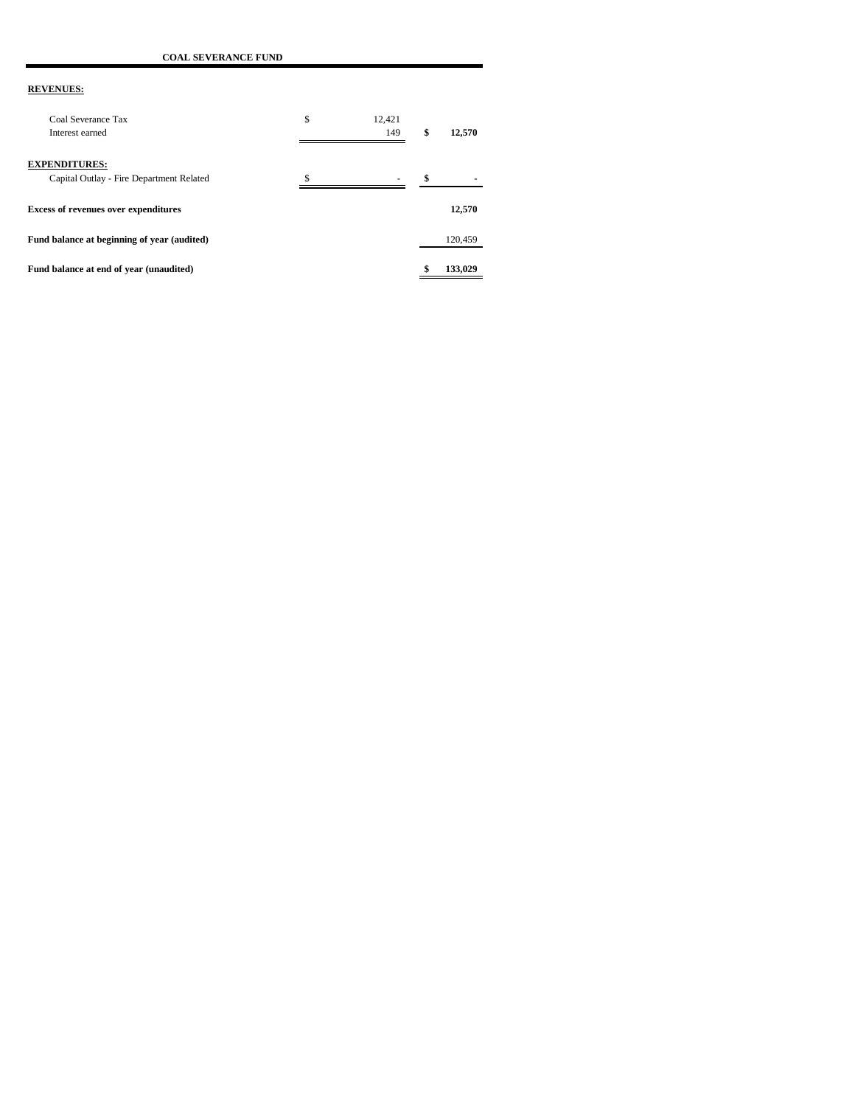**COAL SEVERANCE FUND**

| Coal Severance Tax<br>Interest earned                            | \$<br>12.421<br>149 | \$<br>12,570 |
|------------------------------------------------------------------|---------------------|--------------|
| <b>EXPENDITURES:</b><br>Capital Outlay - Fire Department Related |                     | \$           |
| <b>Excess of revenues over expenditures</b>                      |                     | 12,570       |
| Fund balance at beginning of year (audited)                      |                     | 120,459      |
| Fund balance at end of year (unaudited)                          |                     | 133,029      |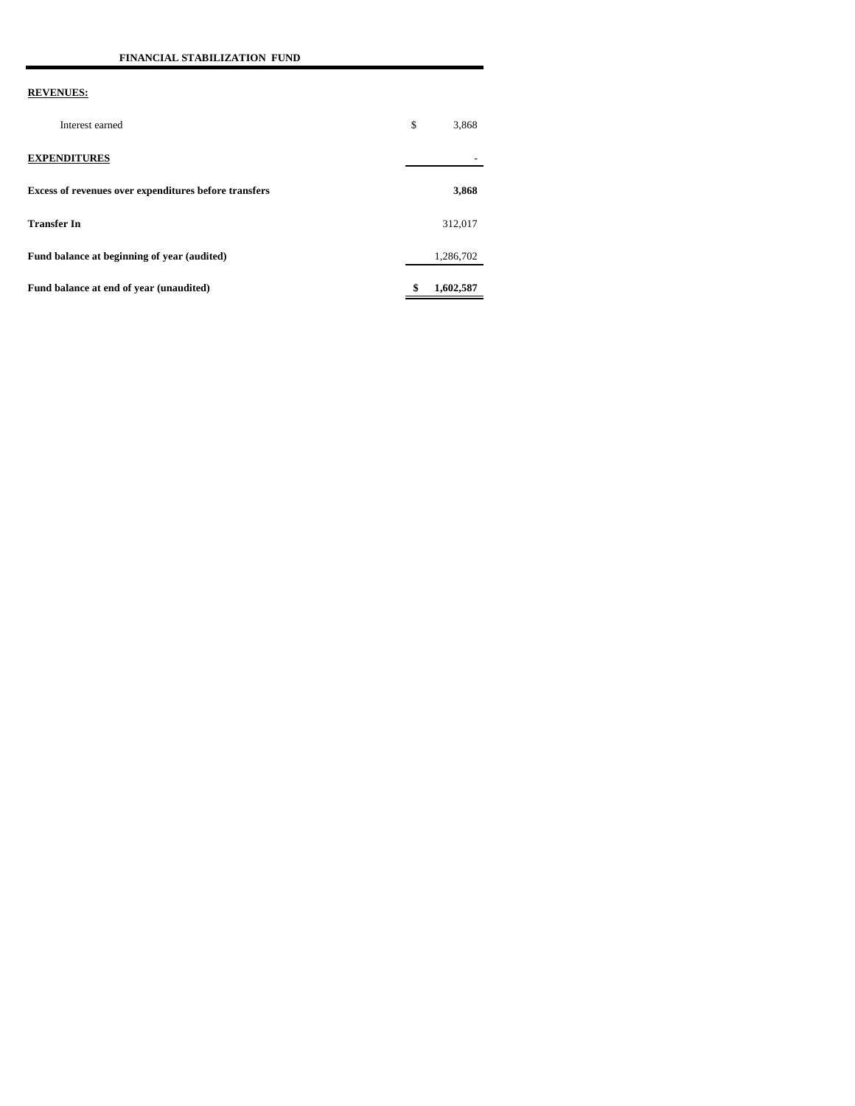| Interest earned                                       | \$<br>3,868     |
|-------------------------------------------------------|-----------------|
| <b>EXPENDITURES</b>                                   |                 |
| Excess of revenues over expenditures before transfers | 3,868           |
| <b>Transfer In</b>                                    | 312,017         |
| Fund balance at beginning of year (audited)           | 1,286,702       |
| Fund balance at end of year (unaudited)               | \$<br>1,602,587 |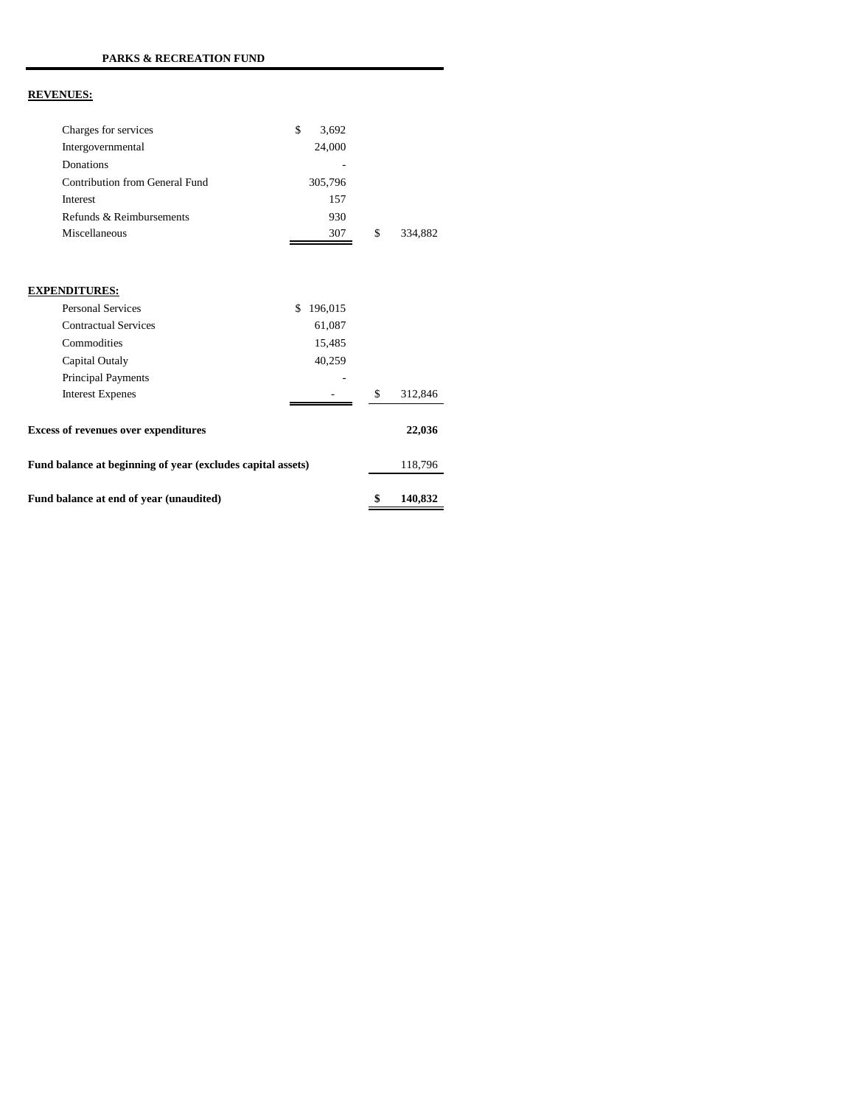| Charges for services                                        | \$<br>3,692   |               |
|-------------------------------------------------------------|---------------|---------------|
| Intergovernmental                                           | 24,000        |               |
| Donations                                                   |               |               |
| Contribution from General Fund                              | 305,796       |               |
| Interest                                                    | 157           |               |
| Refunds & Reimbursements                                    | 930           |               |
| Miscellaneous                                               | 307           | \$<br>334,882 |
|                                                             |               |               |
|                                                             |               |               |
| <b>EXPENDITURES:</b>                                        |               |               |
| <b>Personal Services</b>                                    | \$<br>196,015 |               |
| <b>Contractual Services</b>                                 | 61,087        |               |
| Commodities                                                 | 15,485        |               |
| Capital Outaly                                              | 40,259        |               |
| Principal Payments                                          |               |               |
| <b>Interest Expenes</b>                                     |               | \$<br>312,846 |
| <b>Excess of revenues over expenditures</b>                 |               | 22,036        |
| Fund balance at beginning of year (excludes capital assets) |               | 118,796       |
| Fund balance at end of year (unaudited)                     |               | \$<br>140,832 |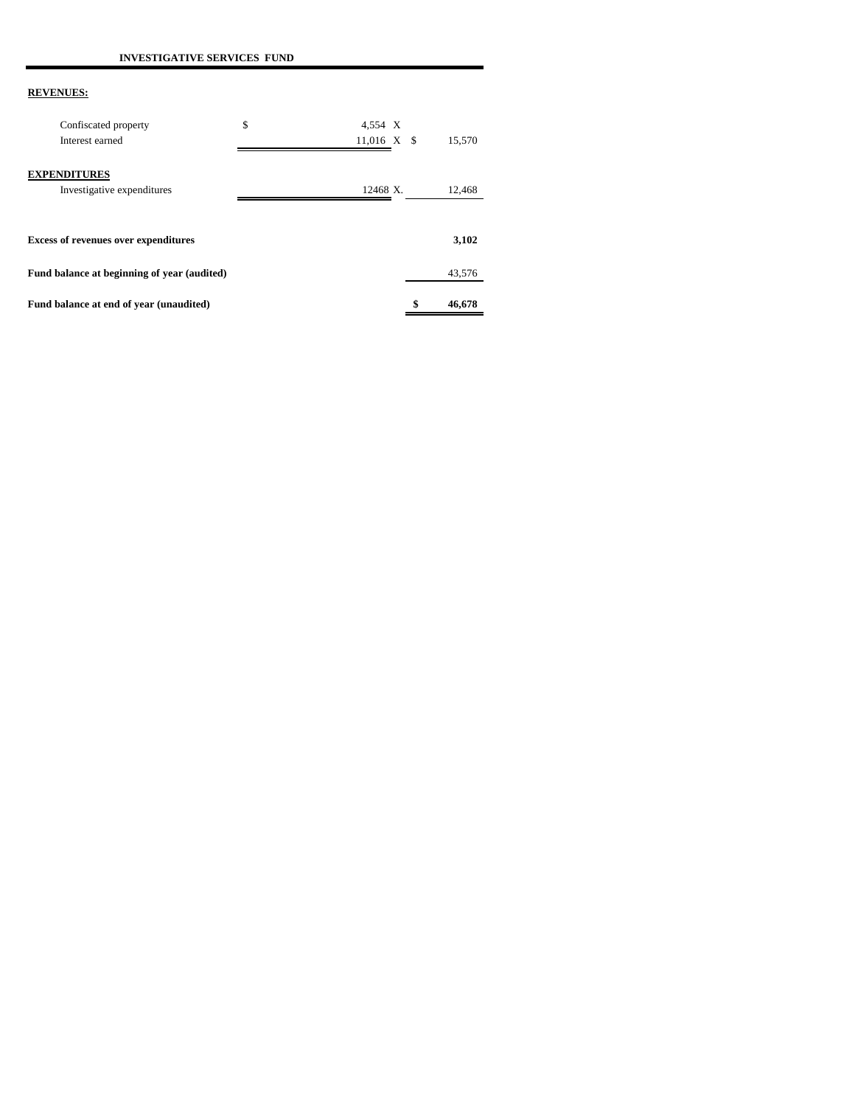| Fund balance at end of year (unaudited)           |                                | \$<br>46.678 |
|---------------------------------------------------|--------------------------------|--------------|
| Fund balance at beginning of year (audited)       |                                | 43,576       |
| <b>Excess of revenues over expenditures</b>       |                                | 3,102        |
| <b>EXPENDITURES</b><br>Investigative expenditures | 12468 X.                       | 12,468       |
| Confiscated property<br>Interest earned           | \$<br>4,554 X<br>$11,016$ X \$ | 15,570       |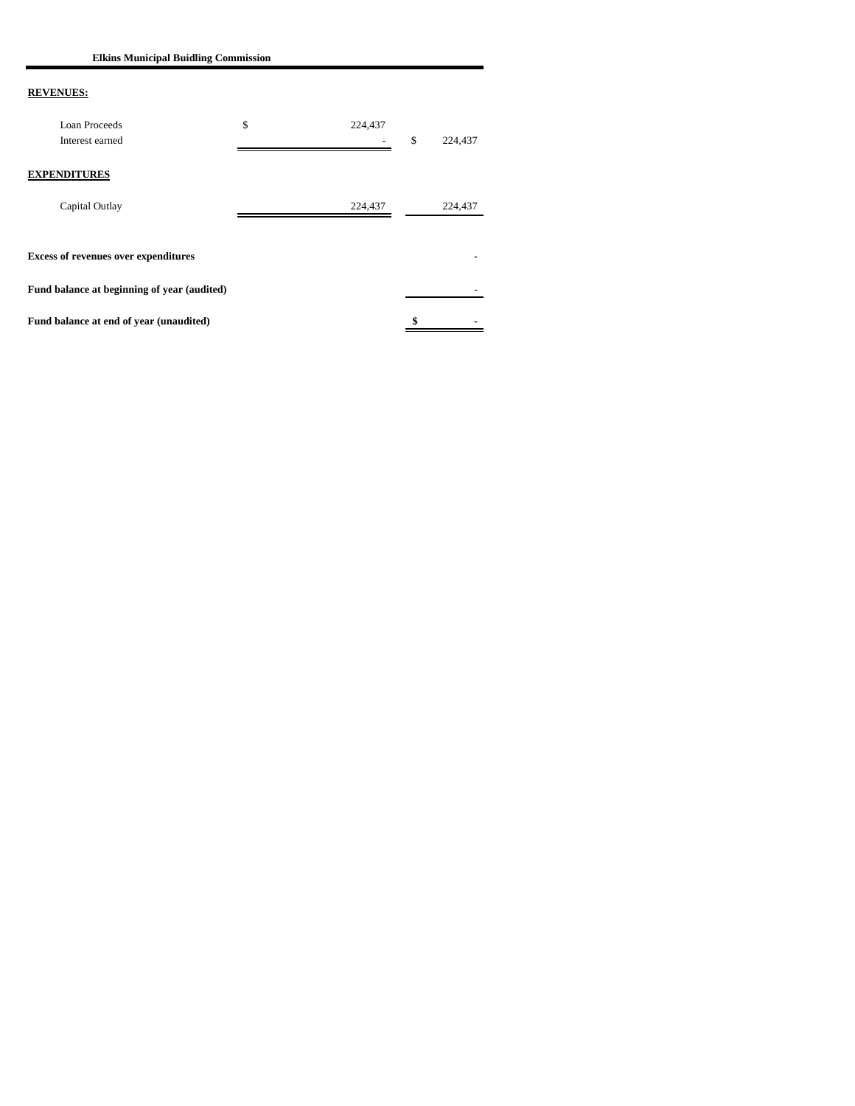**Elkins Municipal Buidling Commission**

| <b>Loan Proceeds</b><br>Interest earned     | \$<br>224,437 | \$<br>224,437 |
|---------------------------------------------|---------------|---------------|
| <b>EXPENDITURES</b>                         |               |               |
| Capital Outlay                              | 224,437       | 224,437       |
| <b>Excess of revenues over expenditures</b> |               |               |
| Fund balance at beginning of year (audited) |               |               |
| Fund balance at end of year (unaudited)     |               | \$            |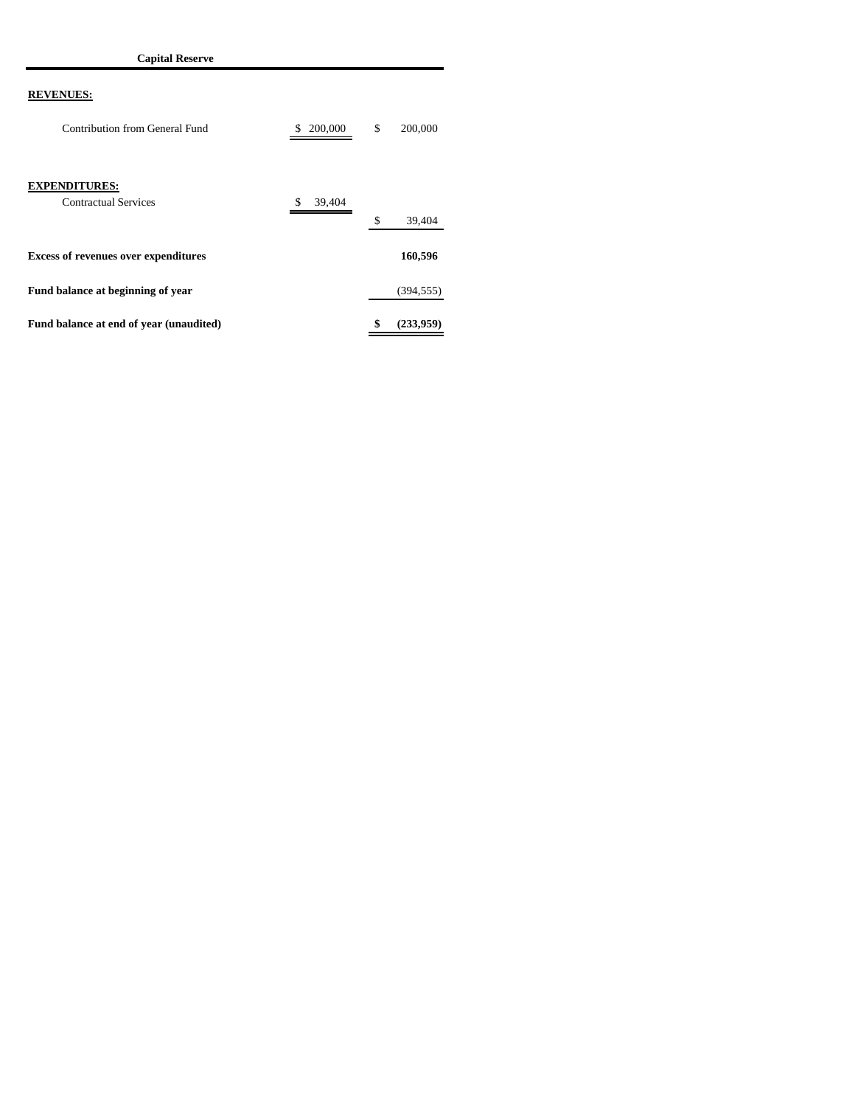| Contribution from General Fund                      | 200,000<br>\$ | \$<br>200,000   |
|-----------------------------------------------------|---------------|-----------------|
| <b>EXPENDITURES:</b><br><b>Contractual Services</b> | 39,404<br>S   | \$<br>39,404    |
| <b>Excess of revenues over expenditures</b>         |               | 160,596         |
| Fund balance at beginning of year                   |               | (394, 555)      |
| Fund balance at end of year (unaudited)             |               | \$<br>(233.959) |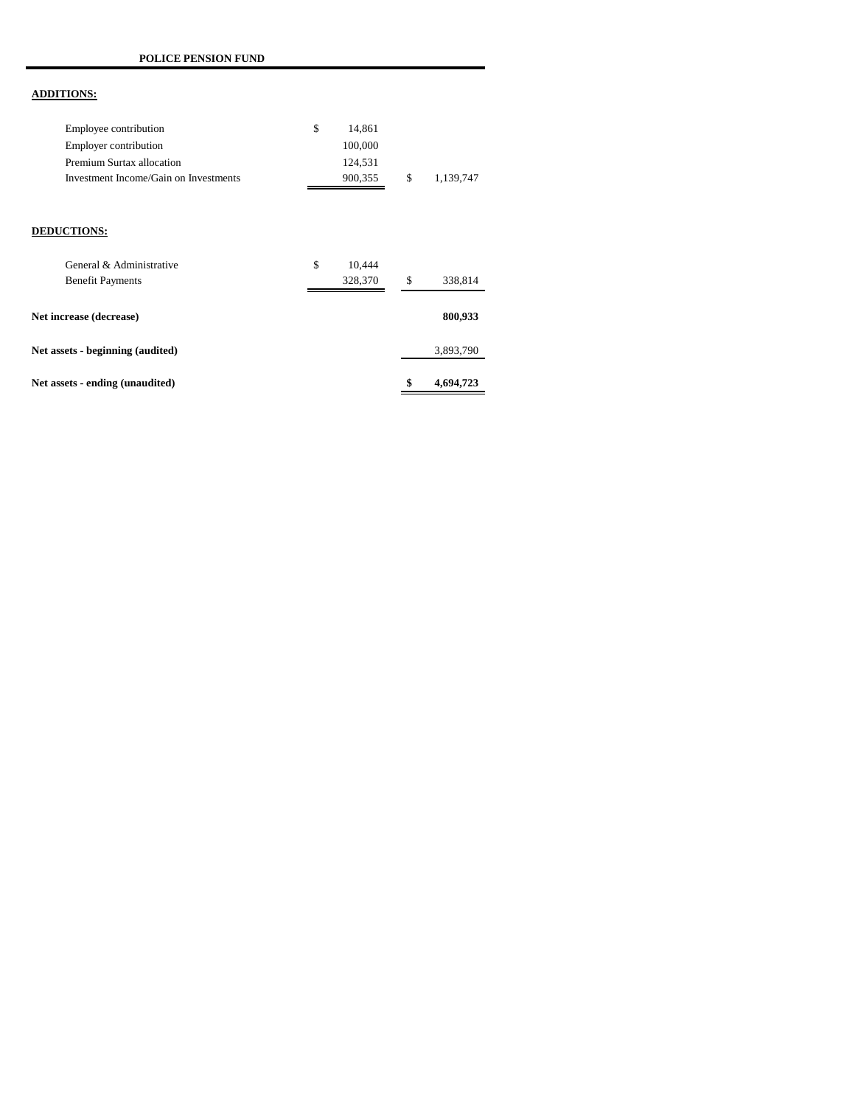# **ADDITIONS:**

| Employee contribution                 | 14.861  |    |           |
|---------------------------------------|---------|----|-----------|
| Employer contribution                 | 100,000 |    |           |
| Premium Surtax allocation             | 124.531 |    |           |
| Investment Income/Gain on Investments | 900.355 | -S | 1.139.747 |

#### **DEDUCTIONS:**

| General & Administrative         | \$<br>10.444 |                 |
|----------------------------------|--------------|-----------------|
| <b>Benefit Payments</b>          | 328,370      | \$<br>338,814   |
| Net increase (decrease)          |              | 800,933         |
| Net assets - beginning (audited) |              | 3,893,790       |
| Net assets - ending (unaudited)  |              | \$<br>4,694,723 |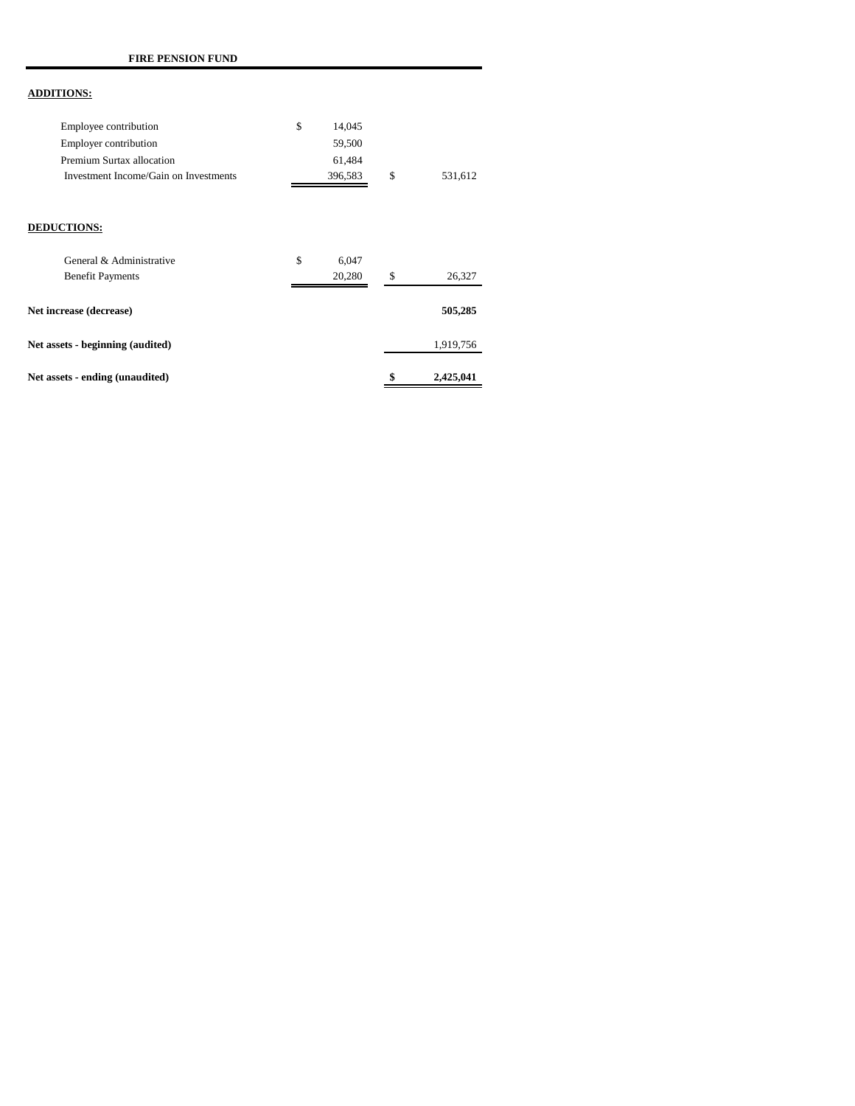## **ADDITIONS:**

| Employee contribution                 | 14.045  |    |         |
|---------------------------------------|---------|----|---------|
| Employer contribution                 | 59,500  |    |         |
| Premium Surtax allocation             | 61.484  |    |         |
| Investment Income/Gain on Investments | 396.583 | £. | 531.612 |

#### **DEDUCTIONS:**

| General & Administrative         | \$<br>6.047 |                 |
|----------------------------------|-------------|-----------------|
| <b>Benefit Payments</b>          | 20,280      | \$<br>26,327    |
| Net increase (decrease)          |             | 505,285         |
| Net assets - beginning (audited) |             | 1,919,756       |
| Net assets - ending (unaudited)  |             | \$<br>2,425,041 |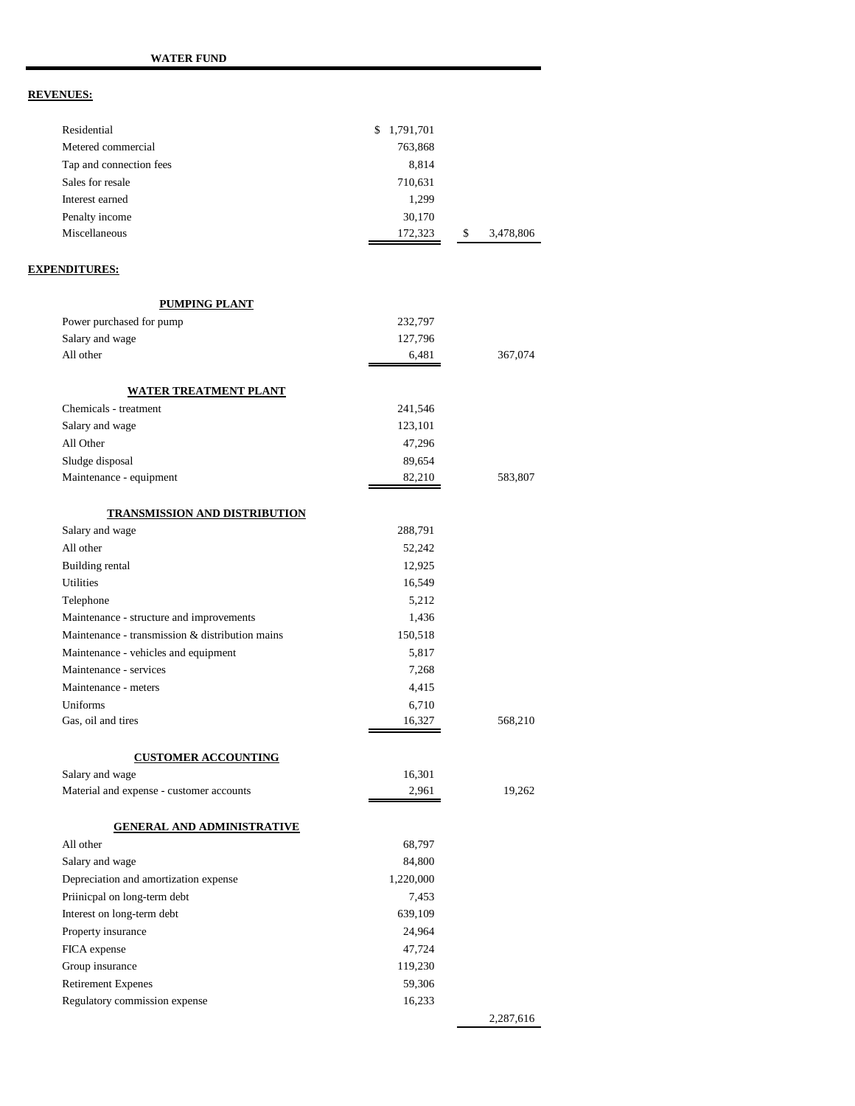| Residential                                     | \$1,791,701 |                 |
|-------------------------------------------------|-------------|-----------------|
| Metered commercial                              | 763,868     |                 |
| Tap and connection fees                         | 8,814       |                 |
| Sales for resale                                | 710,631     |                 |
| Interest earned                                 | 1,299       |                 |
| Penalty income                                  | 30,170      |                 |
| Miscellaneous                                   | 172,323     | 3,478,806<br>\$ |
| <u>EXPENDITURES:</u>                            |             |                 |
| PUMPING PLANT                                   |             |                 |
| Power purchased for pump                        | 232,797     |                 |
| Salary and wage                                 | 127,796     |                 |
| All other                                       | 6,481       | 367,074         |
|                                                 |             |                 |
| <u>WATER TREATMENT PLANT</u>                    |             |                 |
| Chemicals - treatment                           | 241,546     |                 |
| Salary and wage                                 | 123,101     |                 |
| All Other                                       | 47,296      |                 |
| Sludge disposal                                 | 89,654      |                 |
| Maintenance - equipment                         | 82,210      | 583,807         |
| <b>TRANSMISSION AND DISTRIBUTION</b>            |             |                 |
| Salary and wage                                 | 288,791     |                 |
| All other                                       | 52,242      |                 |
| Building rental                                 | 12,925      |                 |
| Utilities                                       | 16,549      |                 |
| Telephone                                       | 5,212       |                 |
| Maintenance - structure and improvements        | 1,436       |                 |
| Maintenance - transmission & distribution mains | 150,518     |                 |
| Maintenance - vehicles and equipment            | 5,817       |                 |
| Maintenance - services                          | 7,268       |                 |
| Maintenance - meters                            | 4,415       |                 |
| Uniforms                                        | 6,710       |                 |
| Gas, oil and tires                              | 16,327      | 568,210         |
| <b>CUSTOMER ACCOUNTING</b>                      |             |                 |
| Salary and wage                                 | 16,301      |                 |
| Material and expense - customer accounts        | 2,961       | 19,262          |
| <b>GENERAL AND ADMINISTRATIVE</b>               |             |                 |
| All other                                       | 68,797      |                 |
| Salary and wage                                 | 84,800      |                 |
| Depreciation and amortization expense           | 1,220,000   |                 |
| Priinicpal on long-term debt                    | 7,453       |                 |
| Interest on long-term debt                      | 639,109     |                 |
| Property insurance                              | 24,964      |                 |
| FICA expense                                    | 47,724      |                 |
| Group insurance                                 | 119,230     |                 |
| <b>Retirement Expenes</b>                       | 59,306      |                 |
| Regulatory commission expense                   | 16,233      |                 |
|                                                 |             | 2,287,616       |
|                                                 |             |                 |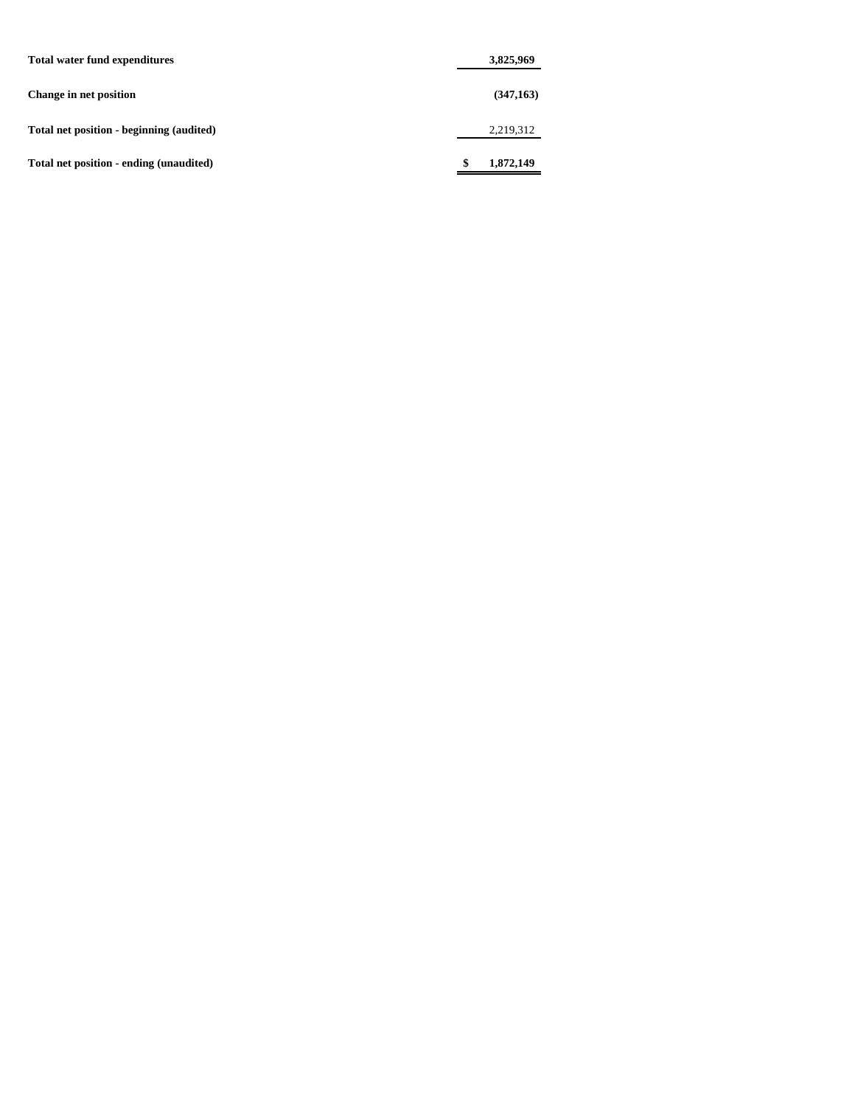| <b>Total water fund expenditures</b>     | 3,825,969       |
|------------------------------------------|-----------------|
| Change in net position                   | (347, 163)      |
| Total net position - beginning (audited) | 2,219,312       |
| Total net position - ending (unaudited)  | \$<br>1,872,149 |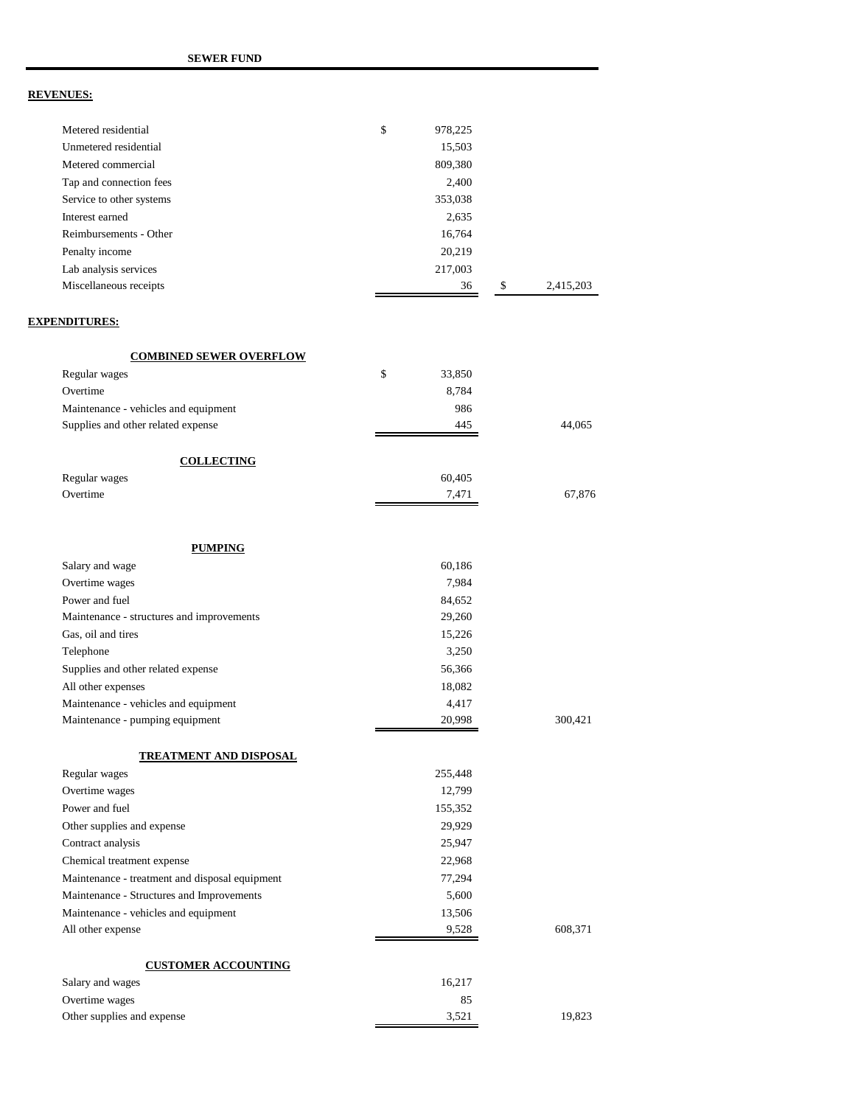| Metered residential                            | \$<br>978,225 |                 |
|------------------------------------------------|---------------|-----------------|
| Unmetered residential                          | 15,503        |                 |
| Metered commercial                             | 809,380       |                 |
| Tap and connection fees                        | 2,400         |                 |
| Service to other systems                       | 353,038       |                 |
| Interest earned                                | 2,635         |                 |
| Reimbursements - Other                         | 16,764        |                 |
| Penalty income                                 | 20,219        |                 |
| Lab analysis services                          | 217,003       |                 |
| Miscellaneous receipts                         | 36            | \$<br>2,415,203 |
| <b>EXPENDITURES:</b>                           |               |                 |
| <b>COMBINED SEWER OVERFLOW</b>                 |               |                 |
| Regular wages                                  | \$<br>33,850  |                 |
| Overtime                                       | 8,784         |                 |
| Maintenance - vehicles and equipment           | 986           |                 |
| Supplies and other related expense             | 445           | 44,065          |
| <b>COLLECTING</b>                              |               |                 |
| Regular wages                                  | 60,405        |                 |
| Overtime                                       | 7,471         | 67,876          |
| <b>PUMPING</b>                                 |               |                 |
| Salary and wage                                | 60,186        |                 |
| Overtime wages                                 | 7,984         |                 |
| Power and fuel                                 | 84,652        |                 |
| Maintenance - structures and improvements      | 29,260        |                 |
| Gas, oil and tires                             | 15,226        |                 |
| Telephone                                      | 3,250         |                 |
| Supplies and other related expense             | 56,366        |                 |
| All other expenses                             | 18,082        |                 |
| Maintenance - vehicles and equipment           | 4,417         |                 |
| Maintenance - pumping equipment                | 20,998        | 300,421         |
| <b>TREATMENT AND DISPOSAL</b>                  |               |                 |
| Regular wages                                  | 255,448       |                 |
| Overtime wages                                 | 12,799        |                 |
| Power and fuel                                 | 155,352       |                 |
| Other supplies and expense                     | 29,929        |                 |
| Contract analysis                              | 25,947        |                 |
| Chemical treatment expense                     | 22,968        |                 |
| Maintenance - treatment and disposal equipment | 77,294        |                 |
| Maintenance - Structures and Improvements      | 5,600         |                 |
| Maintenance - vehicles and equipment           | 13,506        |                 |
| All other expense                              | 9,528         | 608,371         |
| <b>CUSTOMER ACCOUNTING</b>                     |               |                 |
| Salary and wages                               | 16,217        |                 |
| Overtime wages                                 | 85            |                 |
| Other supplies and expense                     | 3,521         | 19,823          |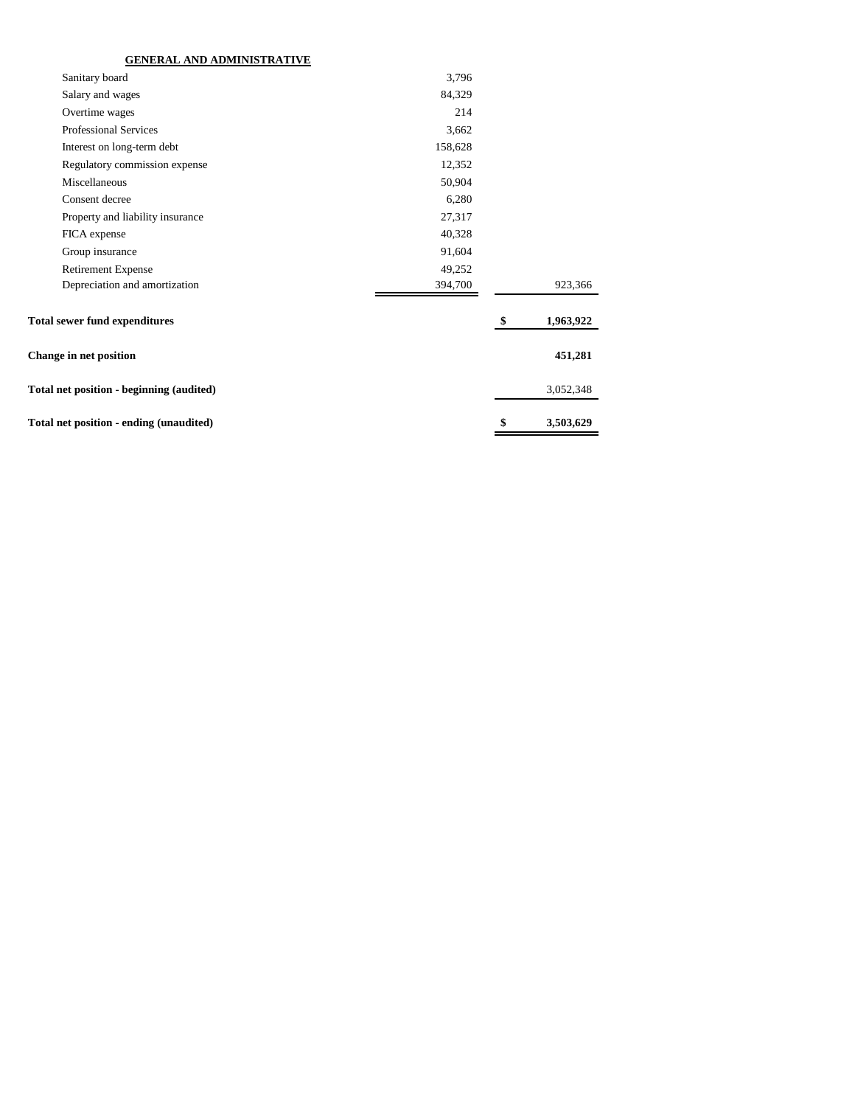## **GENERAL AND ADMINISTRATIVE**

| Sanitary board                           | 3,796   |                 |
|------------------------------------------|---------|-----------------|
| Salary and wages                         | 84,329  |                 |
| Overtime wages                           | 214     |                 |
| <b>Professional Services</b>             | 3,662   |                 |
| Interest on long-term debt               | 158,628 |                 |
| Regulatory commission expense            | 12,352  |                 |
| Miscellaneous                            | 50,904  |                 |
| Consent decree                           | 6,280   |                 |
| Property and liability insurance         | 27,317  |                 |
| FICA expense                             | 40,328  |                 |
| Group insurance                          | 91,604  |                 |
| <b>Retirement Expense</b>                | 49,252  |                 |
| Depreciation and amortization            | 394,700 | 923,366         |
| <b>Total sewer fund expenditures</b>     |         | \$<br>1,963,922 |
| <b>Change in net position</b>            |         | 451,281         |
| Total net position - beginning (audited) |         | 3,052,348       |
| Total net position - ending (unaudited)  |         | \$<br>3,503,629 |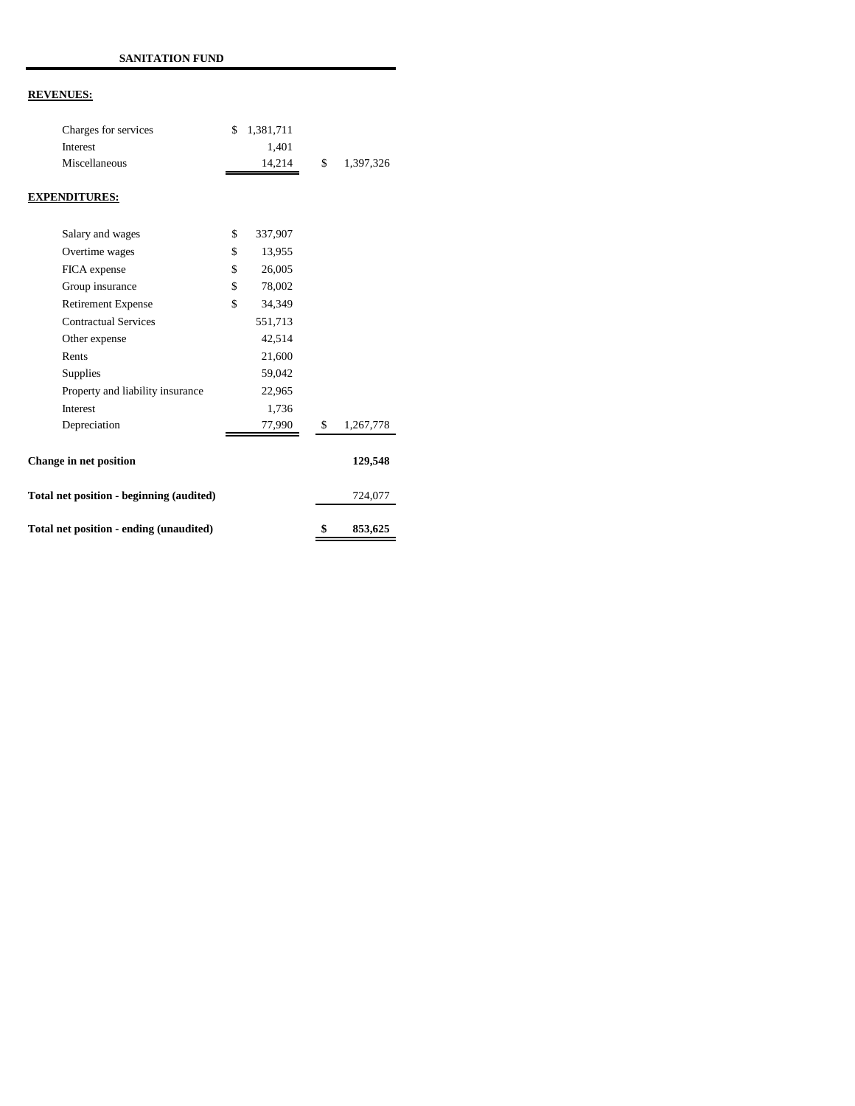| Charges for services                     | \$<br>1,381,711 |                 |
|------------------------------------------|-----------------|-----------------|
| Interest                                 | 1,401           |                 |
| Miscellaneous                            | 14,214          | \$<br>1,397,326 |
| <b>EXPENDITURES:</b>                     |                 |                 |
| Salary and wages                         | \$<br>337,907   |                 |
| Overtime wages                           | \$<br>13,955    |                 |
| FICA expense                             | \$<br>26,005    |                 |
| Group insurance                          | \$<br>78,002    |                 |
| <b>Retirement Expense</b>                | \$<br>34,349    |                 |
| <b>Contractual Services</b>              | 551,713         |                 |
| Other expense                            | 42,514          |                 |
| Rents                                    | 21,600          |                 |
| Supplies                                 | 59,042          |                 |
| Property and liability insurance         | 22,965          |                 |
| Interest                                 | 1,736           |                 |
| Depreciation                             | 77,990          | \$<br>1,267,778 |
| <b>Change in net position</b>            |                 | 129,548         |
| Total net position - beginning (audited) |                 | 724,077         |
| Total net position - ending (unaudited)  |                 | \$<br>853,625   |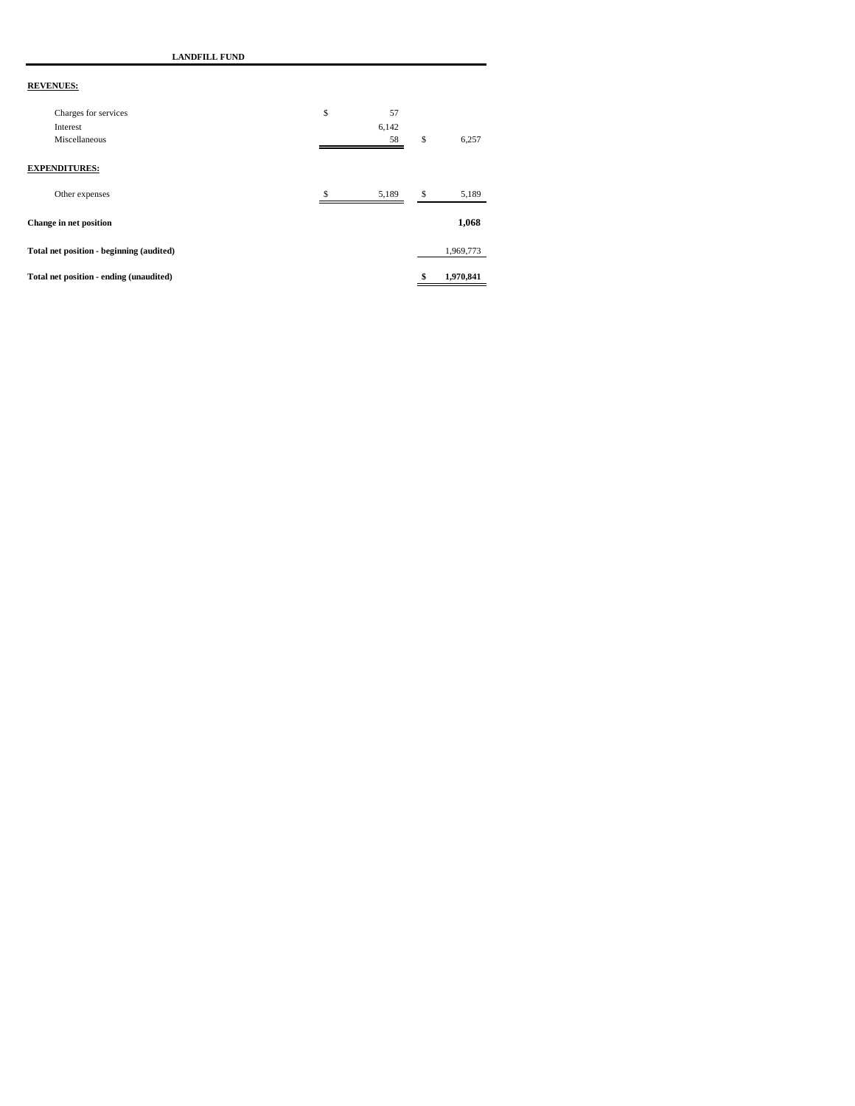**LANDFILL FUND**

| Other expenses<br>Change in net position<br>Total net position - beginning (audited) | S  | 5,189 | \$<br>5,189<br>1,068<br>1,969,773 |
|--------------------------------------------------------------------------------------|----|-------|-----------------------------------|
|                                                                                      |    |       |                                   |
|                                                                                      |    |       |                                   |
|                                                                                      |    |       |                                   |
| <b>EXPENDITURES:</b>                                                                 |    |       |                                   |
| Miscellaneous                                                                        |    | 58    | \$<br>6,257                       |
|                                                                                      |    | 6,142 |                                   |
| Charges for services                                                                 | \$ | 57    |                                   |
|                                                                                      |    |       |                                   |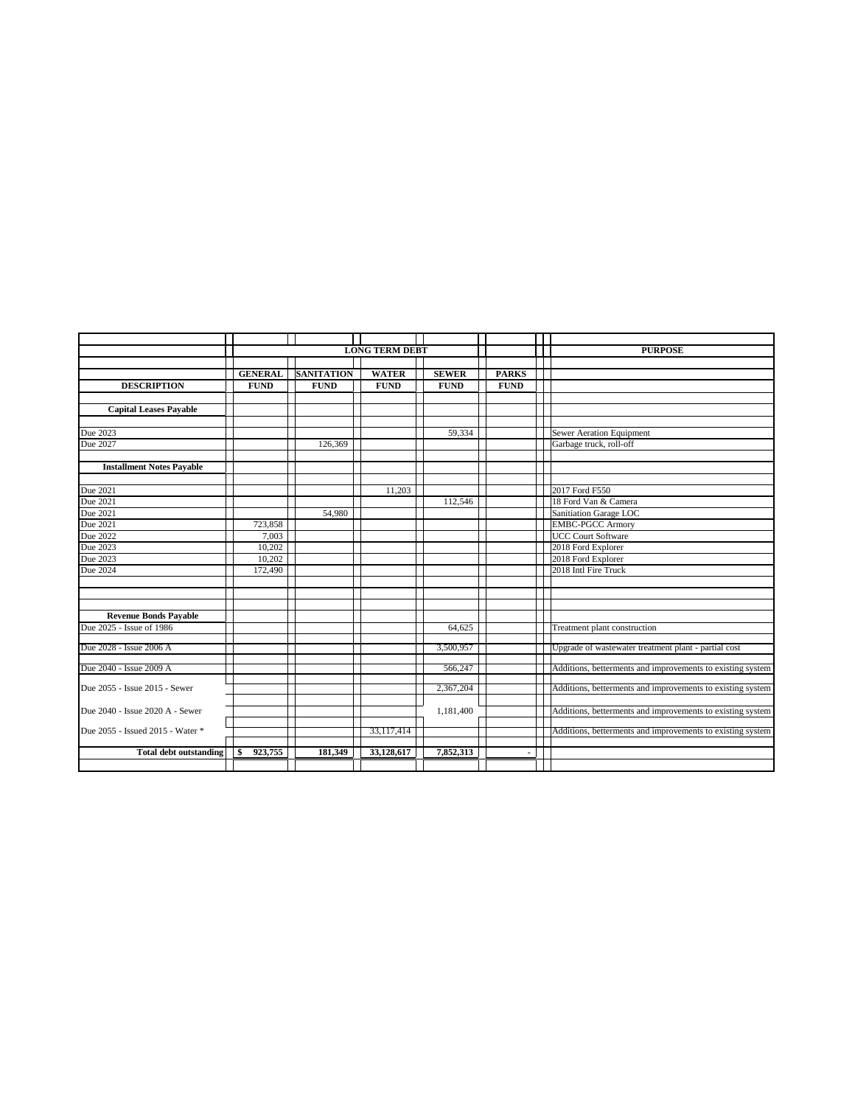|                                  | <b>LONG TERM DEBT</b> |                   |              | <b>PURPOSE</b> |              |                                                            |
|----------------------------------|-----------------------|-------------------|--------------|----------------|--------------|------------------------------------------------------------|
|                                  |                       |                   |              |                |              |                                                            |
|                                  | <b>GENERAL</b>        | <b>SANITATION</b> | <b>WATER</b> | <b>SEWER</b>   | <b>PARKS</b> |                                                            |
| <b>DESCRIPTION</b>               | <b>FUND</b>           | <b>FUND</b>       | <b>FUND</b>  | <b>FUND</b>    | <b>FUND</b>  |                                                            |
|                                  |                       |                   |              |                |              |                                                            |
| <b>Capital Leases Payable</b>    |                       |                   |              |                |              |                                                            |
|                                  |                       |                   |              |                |              |                                                            |
| Due 2023                         |                       |                   |              | 59,334         |              | <b>Sewer Aeration Equipment</b>                            |
| Due 2027                         |                       | 126,369           |              |                |              | Garbage truck, roll-off                                    |
|                                  |                       |                   |              |                |              |                                                            |
| <b>Installment Notes Payable</b> |                       |                   |              |                |              |                                                            |
|                                  |                       |                   |              |                |              |                                                            |
| Due 2021                         |                       |                   | 11.203       |                |              | 2017 Ford F550                                             |
| Due 2021                         |                       |                   |              | 112,546        |              | 18 Ford Van & Camera                                       |
| Due 2021                         |                       | 54,980            |              |                |              | Sanitiation Garage LOC                                     |
| Due 2021                         | 723,858               |                   |              |                |              | <b>EMBC-PGCC Armory</b>                                    |
| Due 2022                         | 7,003                 |                   |              |                |              | <b>UCC Court Software</b>                                  |
| Due 2023                         | 10,202                |                   |              |                |              | 2018 Ford Explorer                                         |
| Due 2023                         | 10,202                |                   |              |                |              | 2018 Ford Explorer                                         |
| Due 2024                         | 172,490               |                   |              |                |              | 2018 Intl Fire Truck                                       |
|                                  |                       |                   |              |                |              |                                                            |
|                                  |                       |                   |              |                |              |                                                            |
|                                  |                       |                   |              |                |              |                                                            |
| <b>Revenue Bonds Payable</b>     |                       |                   |              |                |              |                                                            |
| Due 2025 - Issue of 1986         |                       |                   |              | 64,625         |              | Treatment plant construction                               |
|                                  |                       |                   |              |                |              |                                                            |
| Due 2028 - Issue 2006 A          |                       |                   |              | 3,500,957      |              | Upgrade of wastewater treatment plant - partial cost       |
| Due 2040 - Issue 2009 A          |                       |                   |              | 566,247        |              | Additions, betterments and improvements to existing system |
|                                  |                       |                   |              |                |              |                                                            |
| Due 2055 - Issue 2015 - Sewer    |                       |                   |              | 2,367,204      |              | Additions, betterments and improvements to existing system |
|                                  |                       |                   |              |                |              |                                                            |
| Due 2040 - Issue 2020 A - Sewer  |                       |                   |              | 1,181,400      |              | Additions, betterments and improvements to existing system |
|                                  |                       |                   |              |                |              |                                                            |
| Due 2055 - Issued 2015 - Water * |                       |                   | 33,117,414   |                |              | Additions, betterments and improvements to existing system |
|                                  |                       |                   |              |                |              |                                                            |
| <b>Total debt outstanding</b>    | 923,755<br>\$         | 181,349           | 33.128.617   | 7,852,313      |              |                                                            |
|                                  |                       |                   |              |                |              |                                                            |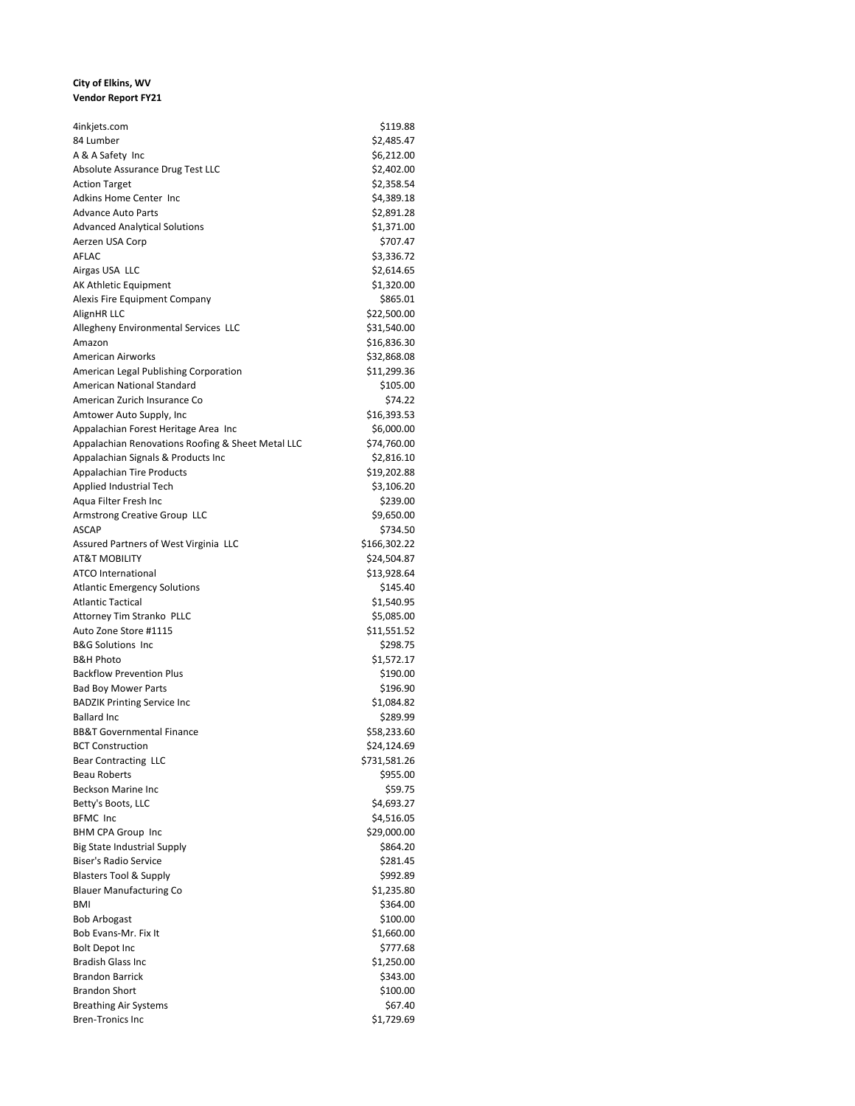#### **City of Elkins, WV Vendor Report FY21**

| 4inkjets.com                                      | \$119.88               |
|---------------------------------------------------|------------------------|
| 84 Lumber                                         | \$2,485.47             |
| A & A Safety Inc                                  | \$6,212.00             |
| Absolute Assurance Drug Test LLC                  | \$2,402.00             |
| <b>Action Target</b>                              | \$2,358.54             |
| Adkins Home Center Inc                            | \$4,389.18             |
| Advance Auto Parts                                | \$2,891.28             |
| <b>Advanced Analytical Solutions</b>              | \$1,371.00             |
| Aerzen USA Corp                                   | \$707.47               |
| AFLAC                                             | \$3,336.72             |
| Airgas USA LLC                                    | \$2,614.65             |
| AK Athletic Equipment                             | \$1,320.00             |
| Alexis Fire Equipment Company                     | \$865.01               |
| AlignHR LLC                                       | \$22,500.00            |
| Allegheny Environmental Services LLC              | \$31,540.00            |
| Amazon                                            | \$16,836.30            |
| American Airworks                                 | \$32,868.08            |
| American Legal Publishing Corporation             | \$11,299.36            |
| American National Standard                        | \$105.00               |
| American Zurich Insurance Co                      | \$74.22                |
| Amtower Auto Supply, Inc                          | \$16,393.53            |
| Appalachian Forest Heritage Area Inc              | \$6,000.00             |
| Appalachian Renovations Roofing & Sheet Metal LLC | \$74,760.00            |
| Appalachian Signals & Products Inc                | \$2,816.10             |
| <b>Appalachian Tire Products</b>                  | \$19,202.88            |
| Applied Industrial Tech                           | \$3,106.20             |
| Aqua Filter Fresh Inc                             | \$239.00               |
| Armstrong Creative Group LLC                      | \$9,650.00             |
| ASCAP                                             | \$734.50               |
| Assured Partners of West Virginia LLC             | \$166,302.22           |
| AT&T MOBILITY                                     | \$24,504.87            |
| <b>ATCO</b> International                         | \$13,928.64            |
| Atlantic Emergency Solutions                      | \$145.40               |
| <b>Atlantic Tactical</b>                          | \$1,540.95             |
| Attorney Tim Stranko PLLC                         | \$5,085.00             |
| Auto Zone Store #1115                             | \$11,551.52            |
| <b>B&amp;G Solutions Inc</b>                      | \$298.75               |
| <b>B&amp;H Photo</b>                              | \$1,572.17             |
| <b>Backflow Prevention Plus</b>                   | \$190.00               |
| <b>Bad Boy Mower Parts</b>                        | \$196.90               |
| <b>BADZIK Printing Service Inc</b>                | \$1,084.82             |
| <b>Ballard Inc</b>                                | \$289.99               |
| BB&T Governmental Finance                         | \$58,233.60            |
| <b>BCT Construction</b>                           | \$24,124.69            |
| <b>Bear Contracting LLC</b>                       | \$731,581.26           |
| <b>Beau Roberts</b>                               | \$955.00               |
| <b>Beckson Marine Inc</b>                         | \$59.75                |
| Betty's Boots, LLC                                | \$4,693.27             |
| <b>BFMC</b> Inc                                   | \$4,516.05             |
| <b>BHM CPA Group Inc</b>                          | \$29,000.00            |
| <b>Big State Industrial Supply</b>                |                        |
| <b>Biser's Radio Service</b>                      | \$864.20<br>\$281.45   |
| <b>Blasters Tool &amp; Supply</b>                 |                        |
| <b>Blauer Manufacturing Co</b>                    | \$992.89<br>\$1,235.80 |
| BMI                                               |                        |
|                                                   | \$364.00               |
| Bob Arbogast                                      | \$100.00               |
| Bob Evans-Mr. Fix It                              | \$1,660.00             |
| Bolt Depot Inc                                    | \$777.68               |
| <b>Bradish Glass Inc</b>                          | \$1,250.00             |
| <b>Brandon Barrick</b>                            | \$343.00               |
| <b>Brandon Short</b>                              | \$100.00               |
| <b>Breathing Air Systems</b>                      | \$67.40                |
| <b>Bren-Tronics Inc</b>                           | \$1,729.69             |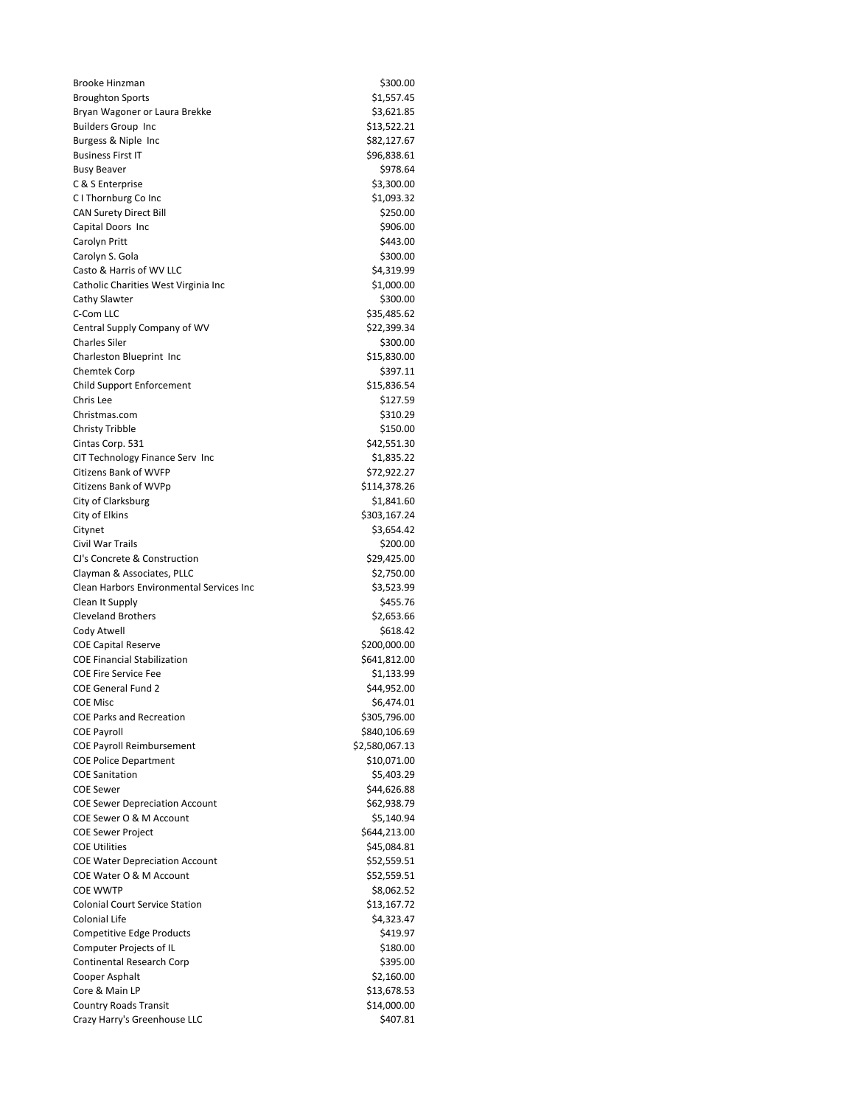| <b>Brooke Hinzman</b>                                             | \$300.00                  |
|-------------------------------------------------------------------|---------------------------|
| <b>Broughton Sports</b>                                           | \$1,557.45                |
| Bryan Wagoner or Laura Brekke                                     | \$3,621.85                |
| <b>Builders Group Inc</b>                                         | \$13,522.21               |
| Burgess & Niple Inc                                               | \$82,127.67               |
| <b>Business First IT</b>                                          | \$96,838.61               |
| <b>Busy Beaver</b>                                                | \$978.64                  |
| C & S Enterprise                                                  | \$3,300.00                |
| C I Thornburg Co Inc                                              | \$1,093.32                |
| <b>CAN Surety Direct Bill</b>                                     | \$250.00                  |
| Capital Doors Inc                                                 | \$906.00<br>\$443.00      |
| Carolyn Pritt                                                     | \$300.00                  |
| Carolyn S. Gola<br>Casto & Harris of WV LLC                       | \$4,319.99                |
| Catholic Charities West Virginia Inc                              | \$1,000.00                |
| Cathy Slawter                                                     | \$300.00                  |
| C-Com LLC                                                         | \$35,485.62               |
| Central Supply Company of WV                                      | \$22,399.34               |
| <b>Charles Siler</b>                                              | \$300.00                  |
| Charleston Blueprint Inc                                          | \$15,830.00               |
| Chemtek Corp                                                      | \$397.11                  |
| Child Support Enforcement                                         | \$15,836.54               |
| Chris Lee                                                         | \$127.59                  |
| Christmas.com                                                     | \$310.29                  |
| <b>Christy Tribble</b>                                            | \$150.00                  |
| Cintas Corp. 531                                                  | \$42,551.30               |
| CIT Technology Finance Serv Inc                                   | \$1,835.22                |
| <b>Citizens Bank of WVFP</b>                                      | \$72,922.27               |
| Citizens Bank of WVPp                                             | \$114,378.26              |
| City of Clarksburg                                                | \$1,841.60                |
| City of Elkins                                                    | \$303,167.24              |
| Citynet                                                           | \$3,654.42                |
| Civil War Trails                                                  | \$200.00                  |
| CJ's Concrete & Construction                                      | \$29,425.00               |
| Clayman & Associates, PLLC                                        | \$2,750.00                |
| Clean Harbors Environmental Services Inc                          | \$3,523.99                |
| Clean It Supply                                                   | \$455.76                  |
| <b>Cleveland Brothers</b>                                         | \$2,653.66                |
| Cody Atwell                                                       | \$618.42                  |
| <b>COE Capital Reserve</b>                                        | \$200,000.00              |
| <b>COE Financial Stabilization</b><br><b>COE Fire Service Fee</b> | \$641,812.00              |
| <b>COE General Fund 2</b>                                         | \$1,133.99<br>\$44,952.00 |
| COE Misc                                                          | \$6,474.01                |
| <b>COE Parks and Recreation</b>                                   | \$305,796.00              |
| <b>COE Payroll</b>                                                | \$840,106.69              |
| <b>COE Payroll Reimbursement</b>                                  | \$2,580,067.13            |
| <b>COE Police Department</b>                                      | \$10,071.00               |
| <b>COE Sanitation</b>                                             | \$5,403.29                |
| <b>COE Sewer</b>                                                  | \$44,626.88               |
| <b>COE Sewer Depreciation Account</b>                             | \$62,938.79               |
| COE Sewer O & M Account                                           | \$5,140.94                |
| <b>COE Sewer Project</b>                                          | \$644,213.00              |
| <b>COE Utilities</b>                                              | \$45,084.81               |
| <b>COE Water Depreciation Account</b>                             | \$52,559.51               |
| COE Water O & M Account                                           | \$52,559.51               |
| <b>COE WWTP</b>                                                   | \$8,062.52                |
| <b>Colonial Court Service Station</b>                             | \$13,167.72               |
| Colonial Life                                                     | \$4,323.47                |
| Competitive Edge Products                                         | \$419.97                  |
| Computer Projects of IL                                           | \$180.00                  |
| <b>Continental Research Corp</b>                                  | \$395.00                  |
| Cooper Asphalt                                                    | \$2,160.00                |
| Core & Main LP                                                    | \$13,678.53               |
| <b>Country Roads Transit</b>                                      | \$14,000.00               |
| Crazy Harry's Greenhouse LLC                                      | \$407.81                  |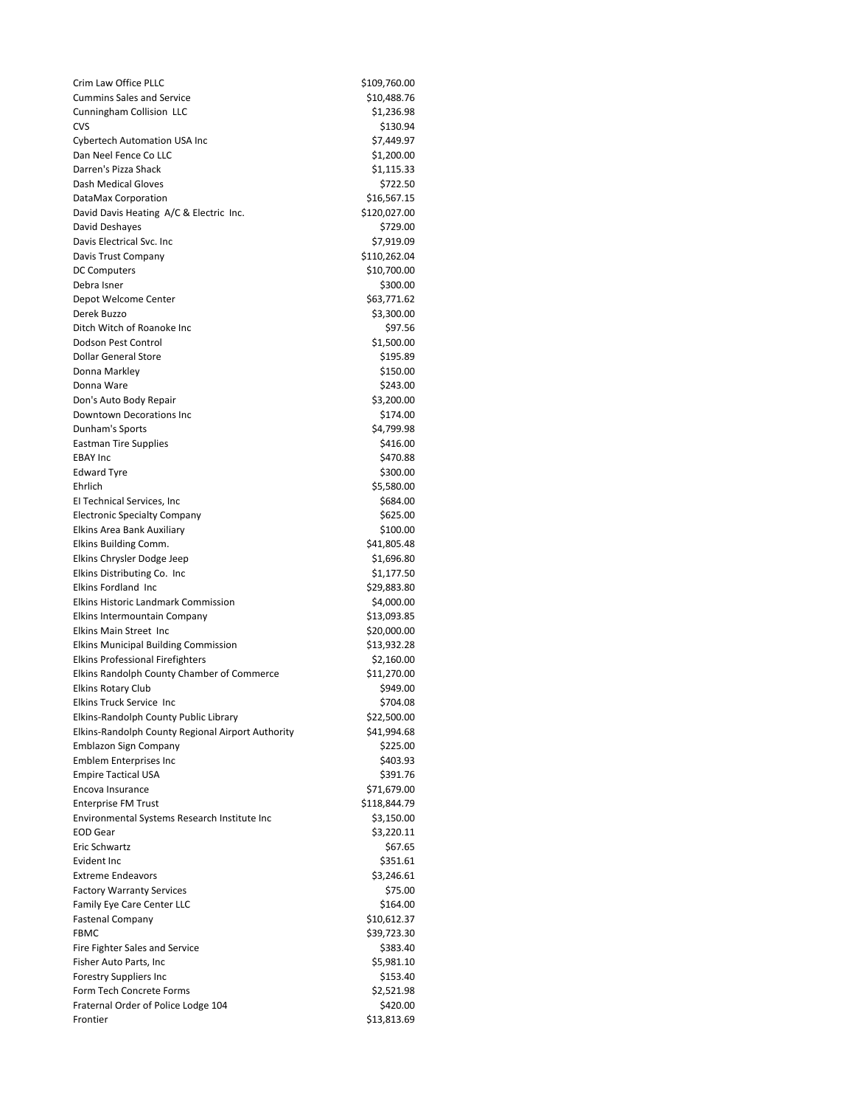| Crim Law Office PLLC                              | \$109,760.00 |
|---------------------------------------------------|--------------|
| <b>Cummins Sales and Service</b>                  | \$10,488.76  |
| Cunningham Collision LLC                          | \$1,236.98   |
| <b>CVS</b>                                        | \$130.94     |
| <b>Cybertech Automation USA Inc</b>               | \$7,449.97   |
| Dan Neel Fence Co LLC                             | \$1,200.00   |
| Darren's Pizza Shack                              | \$1,115.33   |
| Dash Medical Gloves                               | \$722.50     |
| DataMax Corporation                               | \$16,567.15  |
| David Davis Heating A/C & Electric Inc.           | \$120,027.00 |
| David Deshayes                                    | \$729.00     |
| Davis Electrical Svc. Inc                         | \$7,919.09   |
| Davis Trust Company                               | \$110,262.04 |
| <b>DC Computers</b>                               | \$10,700.00  |
| Debra Isner                                       | \$300.00     |
| Depot Welcome Center                              | \$63,771.62  |
| Derek Buzzo                                       | \$3,300.00   |
| Ditch Witch of Roanoke Inc                        | \$97.56      |
| Dodson Pest Control                               | \$1,500.00   |
| <b>Dollar General Store</b>                       | \$195.89     |
| Donna Markley                                     | \$150.00     |
| Donna Ware                                        | \$243.00     |
| Don's Auto Body Repair                            | \$3,200.00   |
| <b>Downtown Decorations Inc.</b>                  |              |
|                                                   | \$174.00     |
| Dunham's Sports                                   | \$4,799.98   |
| <b>Eastman Tire Supplies</b>                      | \$416.00     |
| <b>EBAY Inc</b>                                   | \$470.88     |
| <b>Edward Tyre</b>                                | \$300.00     |
| Ehrlich                                           | \$5,580.00   |
| El Technical Services, Inc                        | \$684.00     |
| <b>Electronic Specialty Company</b>               | \$625.00     |
| Elkins Area Bank Auxiliary                        | \$100.00     |
| Elkins Building Comm.                             | \$41,805.48  |
| Elkins Chrysler Dodge Jeep                        | \$1,696.80   |
| Elkins Distributing Co. Inc                       | \$1,177.50   |
| <b>Elkins Fordland Inc</b>                        | \$29,883.80  |
| <b>Elkins Historic Landmark Commission</b>        | \$4,000.00   |
| Elkins Intermountain Company                      | \$13,093.85  |
| Elkins Main Street Inc                            | \$20,000.00  |
| <b>Elkins Municipal Building Commission</b>       | \$13,932.28  |
| <b>Elkins Professional Firefighters</b>           | \$2,160.00   |
| Elkins Randolph County Chamber of Commerce        | \$11,270.00  |
| <b>Elkins Rotary Club</b>                         | \$949.00     |
| Elkins Truck Service Inc                          | \$704.08     |
| Elkins-Randolph County Public Library             | \$22,500.00  |
| Elkins-Randolph County Regional Airport Authority | \$41,994.68  |
| Emblazon Sign Company                             | \$225.00     |
| <b>Emblem Enterprises Inc</b>                     | \$403.93     |
| <b>Empire Tactical USA</b>                        | \$391.76     |
| Encova Insurance                                  | \$71,679.00  |
| <b>Enterprise FM Trust</b>                        | \$118,844.79 |
| Environmental Systems Research Institute Inc      | \$3,150.00   |
| <b>EOD Gear</b>                                   | \$3,220.11   |
| Eric Schwartz                                     | \$67.65      |
| <b>Evident Inc</b>                                | \$351.61     |
| <b>Extreme Endeavors</b>                          | \$3,246.61   |
| <b>Factory Warranty Services</b>                  | \$75.00      |
|                                                   |              |
| Family Eye Care Center LLC                        | \$164.00     |
| <b>Fastenal Company</b>                           | \$10,612.37  |
| <b>FBMC</b>                                       | \$39,723.30  |
| Fire Fighter Sales and Service                    | \$383.40     |
| Fisher Auto Parts, Inc                            | \$5,981.10   |
| <b>Forestry Suppliers Inc</b>                     | \$153.40     |
| Form Tech Concrete Forms                          | \$2,521.98   |
| Fraternal Order of Police Lodge 104               | \$420.00     |
| Frontier                                          | \$13,813.69  |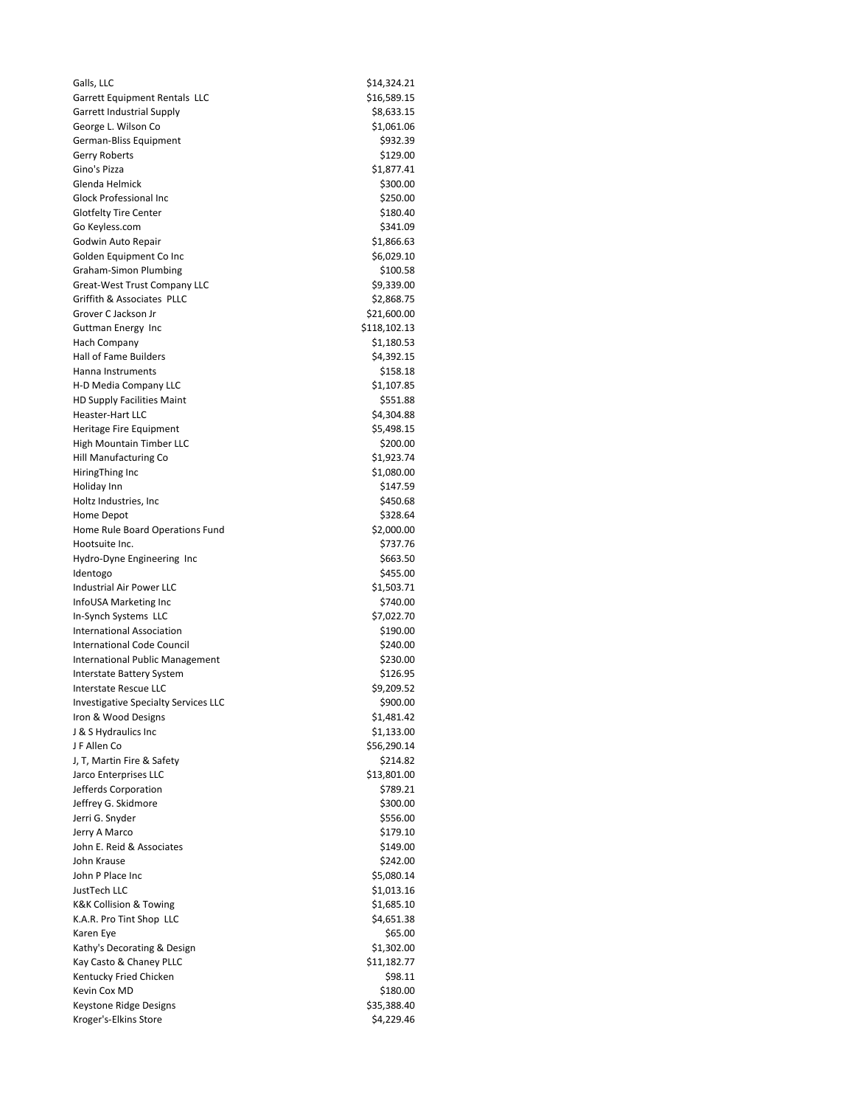| Galls, LLC                                                            | \$14,324.21            |
|-----------------------------------------------------------------------|------------------------|
| Garrett Equipment Rentals LLC                                         | \$16,589.15            |
| <b>Garrett Industrial Supply</b>                                      | \$8,633.15             |
| George L. Wilson Co                                                   | \$1,061.06             |
| German-Bliss Equipment                                                | \$932.39               |
| Gerry Roberts                                                         | \$129.00               |
| Gino's Pizza                                                          | \$1,877.41             |
| Glenda Helmick                                                        | \$300.00               |
| <b>Glock Professional Inc</b>                                         | \$250.00               |
| <b>Glotfelty Tire Center</b>                                          | \$180.40               |
| Go Keyless.com                                                        | \$341.09<br>\$1,866.63 |
| Godwin Auto Repair                                                    | \$6,029.10             |
| Golden Equipment Co Inc<br>Graham-Simon Plumbing                      | \$100.58               |
| <b>Great-West Trust Company LLC</b>                                   | \$9,339.00             |
| Griffith & Associates PLLC                                            | \$2,868.75             |
| Grover C Jackson Jr                                                   | \$21,600.00            |
| Guttman Energy Inc                                                    | \$118,102.13           |
| Hach Company                                                          | \$1,180.53             |
| <b>Hall of Fame Builders</b>                                          | \$4,392.15             |
| Hanna Instruments                                                     | \$158.18               |
| H-D Media Company LLC                                                 | \$1,107.85             |
| <b>HD Supply Facilities Maint</b>                                     | \$551.88               |
| <b>Heaster-Hart LLC</b>                                               | \$4,304.88             |
| Heritage Fire Equipment                                               | \$5,498.15             |
| <b>High Mountain Timber LLC</b>                                       | \$200.00               |
| Hill Manufacturing Co                                                 | \$1,923.74             |
| HiringThing Inc                                                       | \$1,080.00             |
| Holiday Inn                                                           | \$147.59               |
| Holtz Industries, Inc.                                                | \$450.68               |
| Home Depot                                                            | \$328.64               |
| Home Rule Board Operations Fund                                       | \$2,000.00             |
| Hootsuite Inc.                                                        | \$737.76               |
| Hydro-Dyne Engineering Inc                                            | \$663.50               |
| Identogo                                                              | \$455.00               |
| Industrial Air Power LLC                                              | \$1,503.71             |
| InfoUSA Marketing Inc                                                 | \$740.00               |
| In-Synch Systems LLC                                                  | \$7,022.70             |
| <b>International Association</b><br><b>International Code Council</b> | \$190.00               |
| International Public Management                                       | \$240.00<br>\$230.00   |
| Interstate Battery System                                             | \$126.95               |
| Interstate Rescue LLC                                                 | \$9,209.52             |
| Investigative Specialty Services LLC                                  | \$900.00               |
| Iron & Wood Designs                                                   | \$1,481.42             |
| J & S Hydraulics Inc                                                  | \$1,133.00             |
| J F Allen Co                                                          | \$56,290.14            |
| J, T, Martin Fire & Safety                                            | \$214.82               |
| Jarco Enterprises LLC                                                 | \$13,801.00            |
| Jefferds Corporation                                                  | \$789.21               |
| Jeffrey G. Skidmore                                                   | \$300.00               |
| Jerri G. Snyder                                                       | \$556.00               |
| Jerry A Marco                                                         | \$179.10               |
| John E. Reid & Associates                                             | \$149.00               |
| John Krause                                                           | \$242.00               |
| John P Place Inc                                                      | \$5,080.14             |
| JustTech LLC                                                          | \$1,013.16             |
| <b>K&amp;K Collision &amp; Towing</b>                                 | \$1,685.10             |
| K.A.R. Pro Tint Shop LLC                                              | \$4,651.38             |
| Karen Eye                                                             | \$65.00                |
| Kathy's Decorating & Design                                           | \$1,302.00             |
| Kay Casto & Chaney PLLC                                               | \$11,182.77            |
| Kentucky Fried Chicken                                                | \$98.11                |
| Kevin Cox MD                                                          | \$180.00               |
| Keystone Ridge Designs                                                | \$35,388.40            |
| Kroger's-Elkins Store                                                 | \$4,229.46             |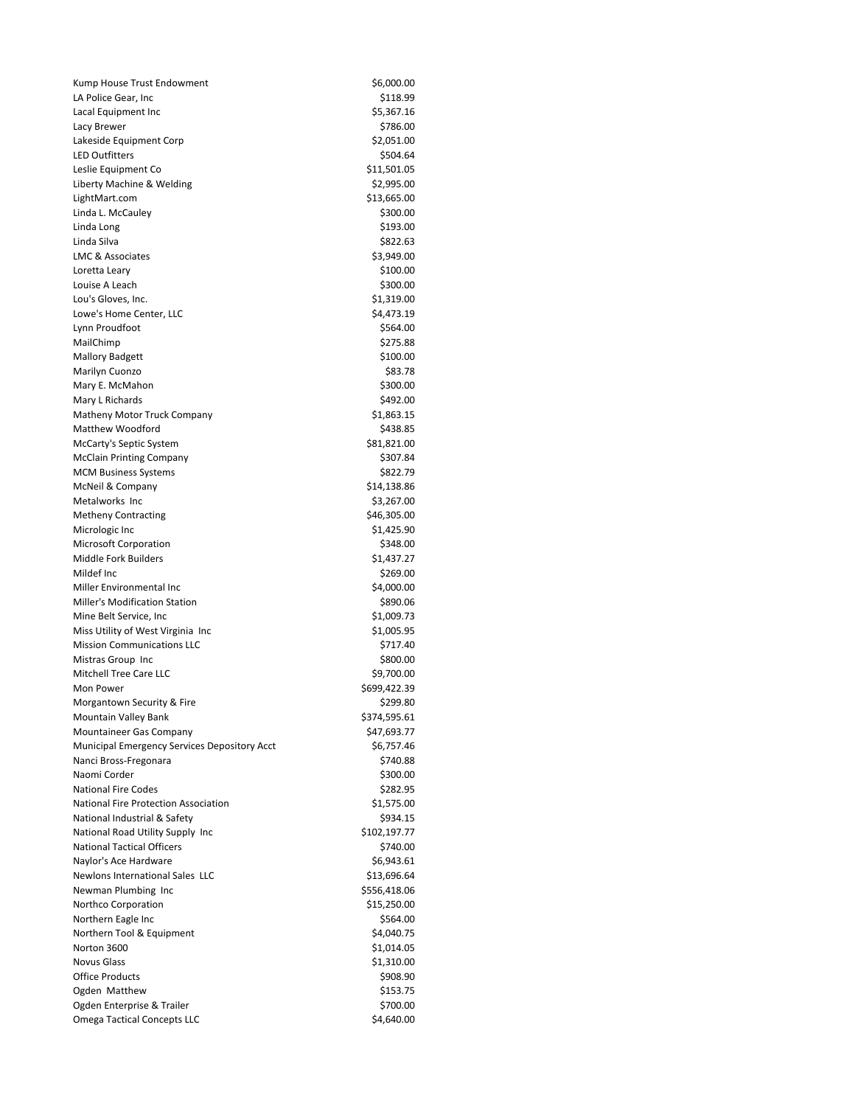| Kump House Trust Endowment                   | \$6,000.00             |
|----------------------------------------------|------------------------|
| LA Police Gear, Inc                          | \$118.99               |
| Lacal Equipment Inc                          | \$5,367.16             |
| Lacy Brewer                                  | \$786.00               |
| Lakeside Equipment Corp                      | \$2,051.00             |
| <b>LED Outfitters</b>                        | \$504.64               |
| Leslie Equipment Co                          | \$11,501.05            |
| Liberty Machine & Welding                    | \$2,995.00             |
| LightMart.com                                | \$13,665.00            |
| Linda L. McCauley                            | \$300.00               |
| Linda Long                                   | \$193.00               |
| Linda Silva                                  | \$822.63               |
| <b>LMC &amp; Associates</b>                  | \$3,949.00             |
| Loretta Leary                                | \$100.00               |
| Louise A Leach                               | \$300.00               |
| Lou's Gloves, Inc.                           | \$1,319.00             |
| Lowe's Home Center, LLC                      | \$4,473.19             |
| Lynn Proudfoot                               | \$564.00<br>\$275.88   |
| MailChimp                                    | \$100.00               |
| <b>Mallory Badgett</b><br>Marilyn Cuonzo     | \$83.78                |
| Mary E. McMahon                              | \$300.00               |
| Mary L Richards                              | \$492.00               |
| Matheny Motor Truck Company                  | \$1,863.15             |
| Matthew Woodford                             | \$438.85               |
| McCarty's Septic System                      | \$81,821.00            |
| <b>McClain Printing Company</b>              | \$307.84               |
| <b>MCM Business Systems</b>                  | \$822.79               |
| McNeil & Company                             | \$14,138.86            |
| Metalworks Inc                               | \$3,267.00             |
| <b>Metheny Contracting</b>                   | \$46,305.00            |
| Micrologic Inc                               | \$1,425.90             |
| <b>Microsoft Corporation</b>                 | \$348.00               |
| Middle Fork Builders                         | \$1,437.27             |
| Mildef Inc                                   | \$269.00               |
| Miller Environmental Inc                     | \$4,000.00             |
| Miller's Modification Station                | \$890.06               |
| Mine Belt Service, Inc                       | \$1,009.73             |
| Miss Utility of West Virginia Inc            | \$1,005.95             |
| <b>Mission Communications LLC</b>            | \$717.40               |
| Mistras Group Inc                            | \$800.00               |
| <b>Mitchell Tree Care LLC</b>                | \$9,700.00             |
| Mon Power                                    | \$699,422.39           |
| Morgantown Security & Fire                   | \$299.80               |
| Mountain Valley Bank                         | \$374,595.61           |
| Mountaineer Gas Company                      | \$47,693.77            |
| Municipal Emergency Services Depository Acct | \$6,757.46             |
| Nanci Bross-Fregonara<br>Naomi Corder        | \$740.88               |
| <b>National Fire Codes</b>                   | \$300.00               |
| National Fire Protection Association         | \$282.95<br>\$1,575.00 |
| National Industrial & Safety                 | \$934.15               |
| National Road Utility Supply Inc             | \$102,197.77           |
| <b>National Tactical Officers</b>            | \$740.00               |
| Naylor's Ace Hardware                        | \$6,943.61             |
| Newlons International Sales LLC              | \$13,696.64            |
| Newman Plumbing Inc                          | \$556,418.06           |
| Northco Corporation                          | \$15,250.00            |
| Northern Eagle Inc                           | \$564.00               |
| Northern Tool & Equipment                    | \$4,040.75             |
| Norton 3600                                  | \$1,014.05             |
| <b>Novus Glass</b>                           | \$1,310.00             |
| <b>Office Products</b>                       | \$908.90               |
| Ogden Matthew                                | \$153.75               |
| Ogden Enterprise & Trailer                   | \$700.00               |
| <b>Omega Tactical Concepts LLC</b>           | \$4,640.00             |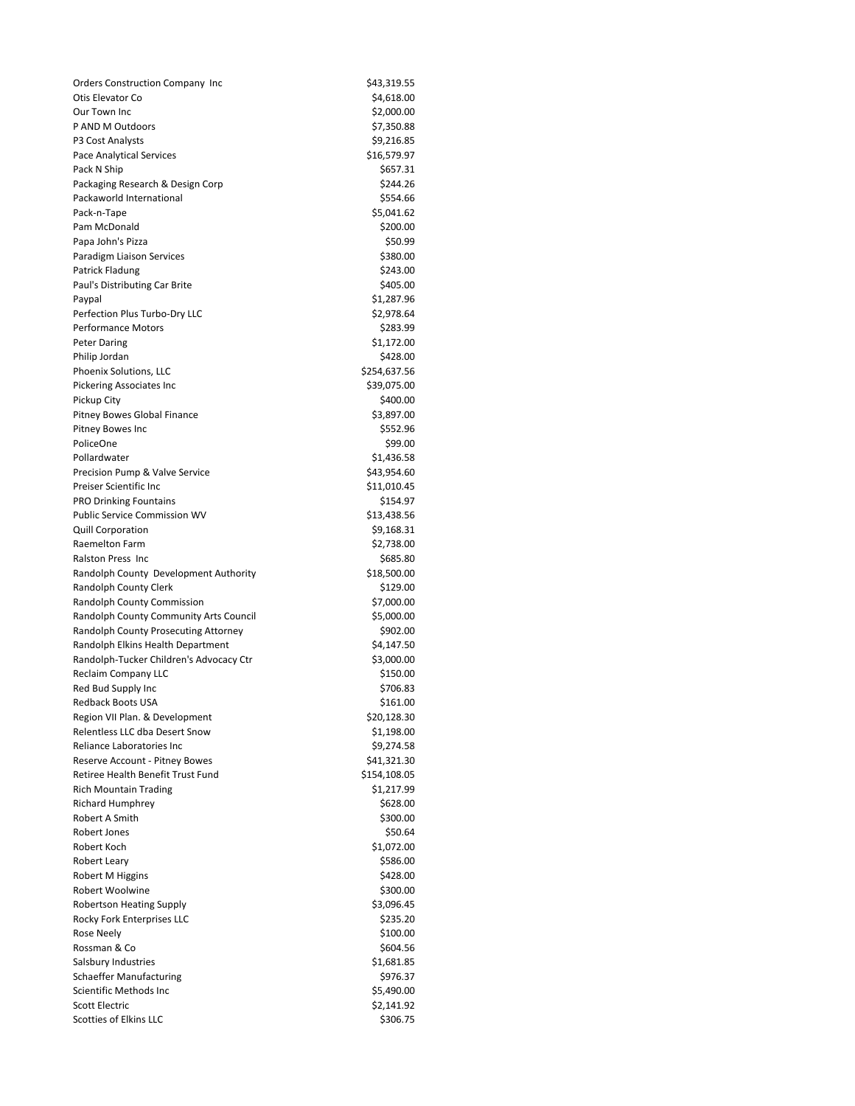| <b>Orders Construction Company Inc</b>                                       | \$43,319.55              |
|------------------------------------------------------------------------------|--------------------------|
| Otis Elevator Co                                                             | \$4,618.00               |
| Our Town Inc                                                                 | \$2,000.00               |
| P AND M Outdoors                                                             | \$7,350.88               |
| P3 Cost Analysts                                                             | \$9,216.85               |
| Pace Analytical Services                                                     | \$16,579.97              |
| Pack N Ship                                                                  | \$657.31                 |
| Packaging Research & Design Corp                                             | \$244.26                 |
| Packaworld International                                                     | \$554.66                 |
| Pack-n-Tape                                                                  | \$5,041.62               |
| Pam McDonald<br>Papa John's Pizza                                            | \$200.00<br>\$50.99      |
| Paradigm Liaison Services                                                    | \$380.00                 |
| Patrick Fladung                                                              | \$243.00                 |
| Paul's Distributing Car Brite                                                | \$405.00                 |
| Paypal                                                                       | \$1,287.96               |
| Perfection Plus Turbo-Dry LLC                                                | \$2,978.64               |
| <b>Performance Motors</b>                                                    | \$283.99                 |
| <b>Peter Daring</b>                                                          | \$1,172.00               |
| Philip Jordan                                                                | \$428.00                 |
| Phoenix Solutions, LLC                                                       | \$254,637.56             |
| <b>Pickering Associates Inc</b>                                              | \$39,075.00              |
| Pickup City                                                                  | \$400.00                 |
| Pitney Bowes Global Finance                                                  | \$3,897.00               |
| <b>Pitney Bowes Inc</b>                                                      | \$552.96                 |
| PoliceOne                                                                    | \$99.00                  |
| Pollardwater                                                                 | \$1,436.58               |
| Precision Pump & Valve Service                                               | \$43,954.60              |
| Preiser Scientific Inc                                                       | \$11,010.45              |
| <b>PRO Drinking Fountains</b>                                                | \$154.97                 |
| Public Service Commission WV                                                 | \$13,438.56              |
| <b>Quill Corporation</b>                                                     | \$9,168.31               |
| Raemelton Farm                                                               | \$2,738.00               |
| Ralston Press Inc                                                            | \$685.80                 |
| Randolph County Development Authority                                        | \$18,500.00              |
| Randolph County Clerk                                                        | \$129.00                 |
| Randolph County Commission                                                   | \$7,000.00               |
| Randolph County Community Arts Council                                       | \$5,000.00               |
| Randolph County Prosecuting Attorney                                         | \$902.00                 |
| Randolph Elkins Health Department<br>Randolph-Tucker Children's Advocacy Ctr | \$4,147.50<br>\$3,000.00 |
| Reclaim Company LLC                                                          | \$150.00                 |
| Red Bud Supply Inc                                                           | \$706.83                 |
| Redback Boots USA                                                            | \$161.00                 |
| Region VII Plan. & Development                                               | \$20,128.30              |
| Relentless LLC dba Desert Snow                                               | \$1,198.00               |
| Reliance Laboratories Inc                                                    | \$9,274.58               |
| Reserve Account - Pitney Bowes                                               | \$41,321.30              |
| Retiree Health Benefit Trust Fund                                            | \$154,108.05             |
| <b>Rich Mountain Trading</b>                                                 | \$1,217.99               |
| <b>Richard Humphrey</b>                                                      | \$628.00                 |
| Robert A Smith                                                               | \$300.00                 |
| Robert Jones                                                                 | \$50.64                  |
| Robert Koch                                                                  | \$1,072.00               |
| <b>Robert Leary</b>                                                          | \$586.00                 |
| Robert M Higgins                                                             | \$428.00                 |
| Robert Woolwine                                                              | \$300.00                 |
| Robertson Heating Supply                                                     | \$3,096.45               |
| Rocky Fork Enterprises LLC                                                   | \$235.20                 |
| Rose Neely                                                                   | \$100.00                 |
| Rossman & Co                                                                 | \$604.56                 |
| Salsbury Industries                                                          | \$1,681.85               |
| <b>Schaeffer Manufacturing</b>                                               | \$976.37                 |
| Scientific Methods Inc                                                       | \$5,490.00               |
| <b>Scott Electric</b>                                                        | \$2,141.92               |
| Scotties of Elkins LLC                                                       | \$306.75                 |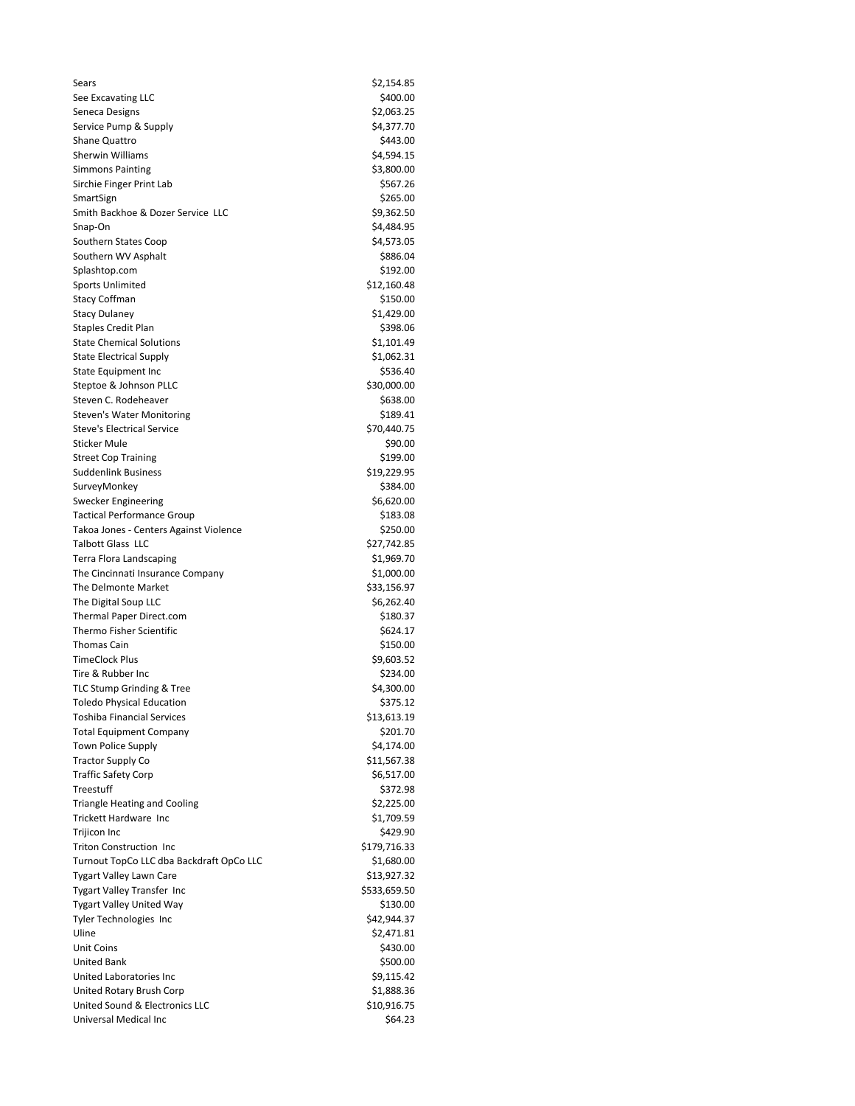| Sears                                    | \$2,154.85   |
|------------------------------------------|--------------|
| See Excavating LLC                       | \$400.00     |
| Seneca Designs                           | \$2,063.25   |
| Service Pump & Supply                    | \$4,377.70   |
| Shane Quattro                            | \$443.00     |
| <b>Sherwin Williams</b>                  | \$4,594.15   |
| <b>Simmons Painting</b>                  | \$3,800.00   |
| Sirchie Finger Print Lab                 | \$567.26     |
| SmartSign                                | \$265.00     |
| Smith Backhoe & Dozer Service LLC        | \$9,362.50   |
| Snap-On                                  | \$4,484.95   |
| Southern States Coop                     | \$4,573.05   |
| Southern WV Asphalt                      | \$886.04     |
| Splashtop.com                            | \$192.00     |
| <b>Sports Unlimited</b>                  | \$12,160.48  |
| <b>Stacy Coffman</b>                     | \$150.00     |
| <b>Stacy Dulaney</b>                     | \$1,429.00   |
| <b>Staples Credit Plan</b>               | \$398.06     |
| <b>State Chemical Solutions</b>          | \$1,101.49   |
| <b>State Electrical Supply</b>           | \$1,062.31   |
| <b>State Equipment Inc</b>               | \$536.40     |
| Steptoe & Johnson PLLC                   | \$30,000.00  |
| Steven C. Rodeheaver                     | \$638.00     |
| <b>Steven's Water Monitoring</b>         | \$189.41     |
| <b>Steve's Electrical Service</b>        | \$70,440.75  |
| <b>Sticker Mule</b>                      | \$90.00      |
| <b>Street Cop Training</b>               | \$199.00     |
| <b>Suddenlink Business</b>               | \$19,229.95  |
| SurveyMonkey                             | \$384.00     |
| Swecker Engineering                      | \$6,620.00   |
| <b>Tactical Performance Group</b>        | \$183.08     |
| Takoa Jones - Centers Against Violence   | \$250.00     |
| <b>Talbott Glass LLC</b>                 | \$27,742.85  |
| <b>Terra Flora Landscaping</b>           | \$1,969.70   |
| The Cincinnati Insurance Company         | \$1,000.00   |
| The Delmonte Market                      | \$33,156.97  |
| The Digital Soup LLC                     | \$6,262.40   |
| Thermal Paper Direct.com                 | \$180.37     |
| Thermo Fisher Scientific                 | \$624.17     |
| Thomas Cain                              | \$150.00     |
| <b>TimeClock Plus</b>                    | \$9,603.52   |
| Tire & Rubber Inc                        | \$234.00     |
| TLC Stump Grinding & Tree                | \$4,300.00   |
| <b>Toledo Physical Education</b>         | \$375.12     |
| Toshiba Financial Services               | \$13,613.19  |
| <b>Total Equipment Company</b>           | \$201.70     |
| Town Police Supply                       | \$4,174.00   |
| <b>Tractor Supply Co</b>                 | \$11,567.38  |
| <b>Traffic Safety Corp</b>               | \$6,517.00   |
| Treestuff                                | \$372.98     |
| <b>Triangle Heating and Cooling</b>      | \$2,225.00   |
| <b>Trickett Hardware Inc</b>             | \$1,709.59   |
| Trijicon Inc                             | \$429.90     |
| Triton Construction Inc                  | \$179,716.33 |
| Turnout TopCo LLC dba Backdraft OpCo LLC | \$1,680.00   |
| Tygart Valley Lawn Care                  | \$13,927.32  |
| <b>Tygart Valley Transfer Inc</b>        | \$533,659.50 |
| <b>Tygart Valley United Way</b>          | \$130.00     |
| Tyler Technologies Inc                   | \$42,944.37  |
| Uline                                    | \$2,471.81   |
| Unit Coins                               | \$430.00     |
| <b>United Bank</b>                       | \$500.00     |
| United Laboratories Inc                  | \$9,115.42   |
| United Rotary Brush Corp                 | \$1,888.36   |
| United Sound & Electronics LLC           | \$10,916.75  |
| Universal Medical Inc                    | \$64.23      |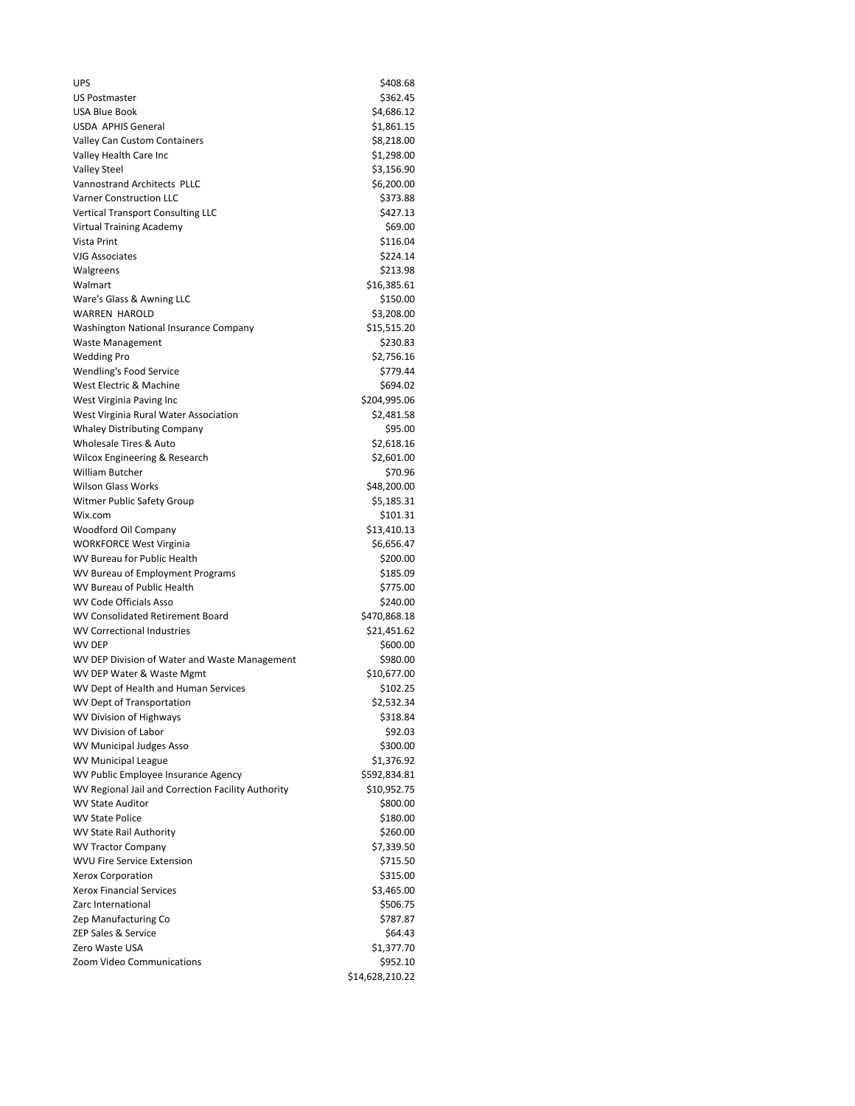| <b>UPS</b>                                                    | \$408.68               |  |
|---------------------------------------------------------------|------------------------|--|
| <b>US Postmaster</b>                                          | \$362.45               |  |
| <b>USA Blue Book</b>                                          | \$4,686.12             |  |
| <b>USDA APHIS General</b>                                     | \$1,861.15             |  |
| Valley Can Custom Containers                                  | \$8,218.00             |  |
| Valley Health Care Inc                                        | \$1,298.00             |  |
| <b>Valley Steel</b>                                           | \$3,156.90             |  |
| Vannostrand Architects PLLC                                   | \$6,200.00             |  |
| <b>Varner Construction LLC</b>                                | \$373.88               |  |
| <b>Vertical Transport Consulting LLC</b>                      | \$427.13               |  |
| Virtual Training Academy                                      | \$69.00                |  |
| Vista Print                                                   | \$116.04               |  |
| <b>VJG Associates</b>                                         | \$224.14               |  |
| Walgreens                                                     | \$213.98               |  |
| Walmart                                                       | \$16,385.61            |  |
| Ware's Glass & Awning LLC                                     | \$150.00               |  |
| <b>WARREN HAROLD</b>                                          | \$3,208.00             |  |
| Washington National Insurance Company                         | \$15,515.20            |  |
| <b>Waste Management</b>                                       | \$230.83               |  |
| <b>Wedding Pro</b>                                            | \$2,756.16             |  |
| Wendling's Food Service                                       | \$779.44               |  |
| West Electric & Machine                                       | \$694.02               |  |
| West Virginia Paving Inc                                      | \$204,995.06           |  |
| West Virginia Rural Water Association                         | \$2,481.58             |  |
| <b>Whaley Distributing Company</b>                            | \$95.00                |  |
| Wholesale Tires & Auto                                        | \$2,618.16             |  |
| Wilcox Engineering & Research                                 | \$2,601.00             |  |
| <b>William Butcher</b>                                        | \$70.96                |  |
| <b>Wilson Glass Works</b>                                     | \$48,200.00            |  |
| Witmer Public Safety Group                                    | \$5,185.31             |  |
| Wix.com                                                       | \$101.31               |  |
| Woodford Oil Company                                          | \$13,410.13            |  |
| <b>WORKFORCE West Virginia</b><br>WV Bureau for Public Health | \$6,656.47<br>\$200.00 |  |
| WV Bureau of Employment Programs                              | \$185.09               |  |
| WV Bureau of Public Health                                    | \$775.00               |  |
| <b>WV Code Officials Asso</b>                                 | \$240.00               |  |
| WV Consolidated Retirement Board                              | \$470,868.18           |  |
| <b>WV Correctional Industries</b>                             | \$21,451.62            |  |
| <b>WV DEP</b>                                                 | \$600.00               |  |
| WV DEP Division of Water and Waste Management                 | \$980.00               |  |
| WV DEP Water & Waste Mgmt                                     | \$10,677.00            |  |
| WV Dept of Health and Human Services                          | \$102.25               |  |
| WV Dept of Transportation                                     | \$2,532.34             |  |
| WV Division of Highways                                       | \$318.84               |  |
| WV Division of Labor                                          | \$92.03                |  |
| <b>WV Municipal Judges Asso</b>                               | \$300.00               |  |
| <b>WV Municipal League</b>                                    | \$1,376.92             |  |
| WV Public Employee Insurance Agency                           | \$592,834.81           |  |
| WV Regional Jail and Correction Facility Authority            | \$10,952.75            |  |
| <b>WV State Auditor</b>                                       | \$800.00               |  |
| <b>WV State Police</b>                                        | \$180.00               |  |
| WV State Rail Authority                                       | \$260.00               |  |
| <b>WV Tractor Company</b>                                     | \$7,339.50             |  |
| <b>WVU Fire Service Extension</b>                             | \$715.50               |  |
| Xerox Corporation                                             | \$315.00               |  |
| <b>Xerox Financial Services</b>                               | \$3,465.00             |  |
| Zarc International                                            | \$506.75               |  |
| Zep Manufacturing Co                                          | \$787.87               |  |
| ZEP Sales & Service                                           | \$64.43                |  |
| Zero Waste USA                                                | \$1,377.70             |  |
| Zoom Video Communications                                     | \$952.10               |  |
|                                                               | \$14,628,210.22        |  |